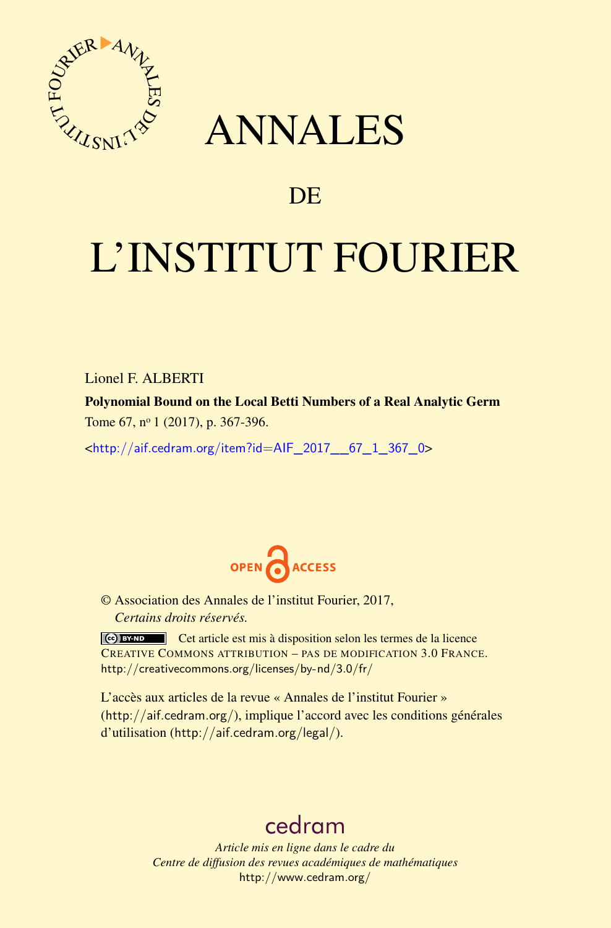

## ANNALES

### **DE**

# L'INSTITUT FOURIER

Lionel F. ALBERTI

Polynomial Bound on the Local Betti Numbers of a Real Analytic Germ Tome 67, nº 1 (2017), p. 367-396.

<[http://aif.cedram.org/item?id=AIF\\_2017\\_\\_67\\_1\\_367\\_0](http://aif.cedram.org/item?id=AIF_2017__67_1_367_0)>



© Association des Annales de l'institut Fourier, 2017, *Certains droits réservés.*

Cet article est mis à disposition selon les termes de la licence CREATIVE COMMONS ATTRIBUTION – PAS DE MODIFICATION 3.0 FRANCE. <http://creativecommons.org/licenses/by-nd/3.0/fr/>

L'accès aux articles de la revue « Annales de l'institut Fourier » (<http://aif.cedram.org/>), implique l'accord avec les conditions générales d'utilisation (<http://aif.cedram.org/legal/>).

## [cedram](http://www.cedram.org/)

*Article mis en ligne dans le cadre du Centre de diffusion des revues académiques de mathématiques* <http://www.cedram.org/>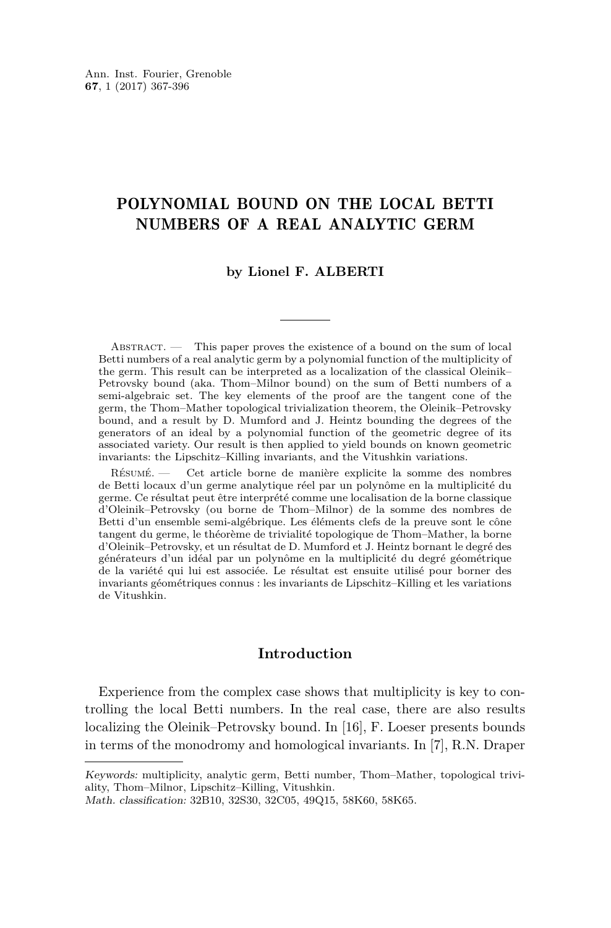#### POLYNOMIAL BOUND ON THE LOCAL BETTI NUMBERS OF A REAL ANALYTIC GERM

#### **by Lionel F. ALBERTI**

ABSTRACT. — This paper proves the existence of a bound on the sum of local Betti numbers of a real analytic germ by a polynomial function of the multiplicity of the germ. This result can be interpreted as a localization of the classical Oleinik– Petrovsky bound (aka. Thom–Milnor bound) on the sum of Betti numbers of a semi-algebraic set. The key elements of the proof are the tangent cone of the germ, the Thom–Mather topological trivialization theorem, the Oleinik–Petrovsky bound, and a result by D. Mumford and J. Heintz bounding the degrees of the generators of an ideal by a polynomial function of the geometric degree of its associated variety. Our result is then applied to yield bounds on known geometric invariants: the Lipschitz–Killing invariants, and the Vitushkin variations.

Résumé. — Cet article borne de manière explicite la somme des nombres de Betti locaux d'un germe analytique réel par un polynôme en la multiplicité du germe. Ce résultat peut être interprété comme une localisation de la borne classique d'Oleinik–Petrovsky (ou borne de Thom–Milnor) de la somme des nombres de Betti d'un ensemble semi-algébrique. Les éléments clefs de la preuve sont le cône tangent du germe, le théorème de trivialité topologique de Thom–Mather, la borne d'Oleinik–Petrovsky, et un résultat de D. Mumford et J. Heintz bornant le degré des générateurs d'un idéal par un polynôme en la multiplicité du degré géométrique de la variété qui lui est associée. Le résultat est ensuite utilisé pour borner des invariants géométriques connus : les invariants de Lipschitz–Killing et les variations de Vitushkin.

#### **Introduction**

Experience from the complex case shows that multiplicity is key to controlling the local Betti numbers. In the real case, there are also results localizing the Oleinik–Petrovsky bound. In [\[16\]](#page-29-0), F. Loeser presents bounds in terms of the monodromy and homological invariants. In [\[7\]](#page-29-1), R.N. Draper

Keywords: multiplicity, analytic germ, Betti number, Thom–Mather, topological triviality, Thom–Milnor, Lipschitz–Killing, Vitushkin.

Math. classification: 32B10, 32S30, 32C05, 49Q15, 58K60, 58K65.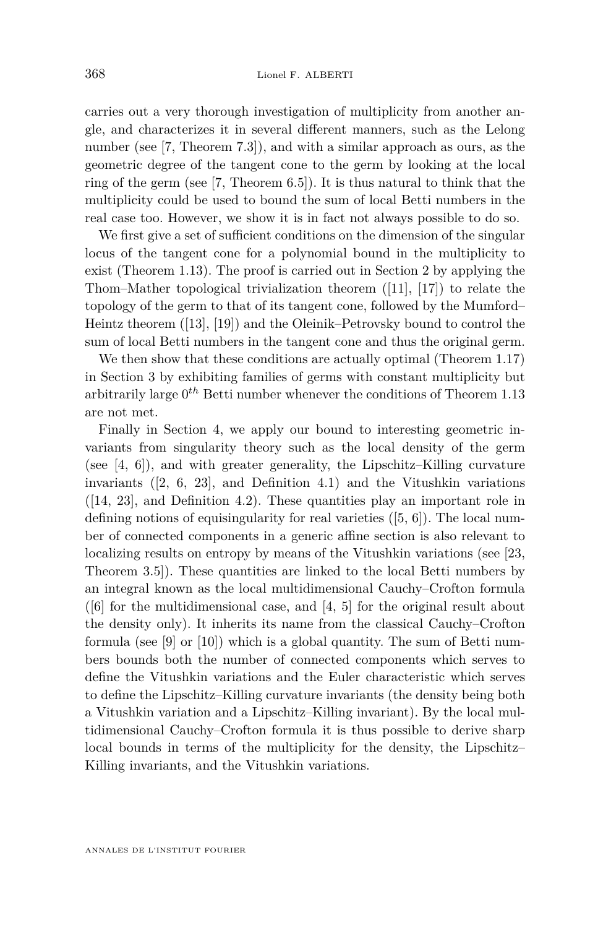carries out a very thorough investigation of multiplicity from another angle, and characterizes it in several different manners, such as the Lelong number (see [\[7,](#page-29-1) Theorem 7.3]), and with a similar approach as ours, as the geometric degree of the tangent cone to the germ by looking at the local ring of the germ (see [\[7,](#page-29-1) Theorem 6.5]). It is thus natural to think that the multiplicity could be used to bound the sum of local Betti numbers in the real case too. However, we show it is in fact not always possible to do so.

We first give a set of sufficient conditions on the dimension of the singular locus of the tangent cone for a polynomial bound in the multiplicity to exist (Theorem [1.13\)](#page-6-0). The proof is carried out in Section [2](#page-8-0) by applying the Thom–Mather topological trivialization theorem ([\[11\]](#page-29-2), [\[17\]](#page-29-3)) to relate the topology of the germ to that of its tangent cone, followed by the Mumford– Heintz theorem ([\[13\]](#page-29-4), [\[19\]](#page-30-0)) and the Oleinik–Petrovsky bound to control the sum of local Betti numbers in the tangent cone and thus the original germ.

We then show that these conditions are actually optimal (Theorem [1.17\)](#page-8-1) in Section [3](#page-17-0) by exhibiting families of germs with constant multiplicity but arbitrarily large 0 *th* Betti number whenever the conditions of Theorem [1.13](#page-6-0) are not met.

Finally in Section [4,](#page-23-0) we apply our bound to interesting geometric invariants from singularity theory such as the local density of the germ (see  $[4, 6]$  $[4, 6]$  $[4, 6]$ ), and with greater generality, the Lipschitz–Killing curvature invariants ([\[2,](#page-29-7) [6,](#page-29-6) [23\]](#page-30-1), and Definition [4.1\)](#page-23-1) and the Vitushkin variations ([\[14,](#page-29-8) [23\]](#page-30-1), and Definition [4.2\)](#page-23-2). These quantities play an important role in defining notions of equisingularity for real varieties ([\[5,](#page-29-9) [6\]](#page-29-6)). The local number of connected components in a generic affine section is also relevant to localizing results on entropy by means of the Vitushkin variations (see [\[23,](#page-30-1) Theorem 3.5]). These quantities are linked to the local Betti numbers by an integral known as the local multidimensional Cauchy–Crofton formula  $([6]$  $([6]$  for the multidimensional case, and  $[4, 5]$  $[4, 5]$  $[4, 5]$  for the original result about the density only). It inherits its name from the classical Cauchy–Crofton formula (see [\[9\]](#page-29-10) or [\[10\]](#page-29-11)) which is a global quantity. The sum of Betti numbers bounds both the number of connected components which serves to define the Vitushkin variations and the Euler characteristic which serves to define the Lipschitz–Killing curvature invariants (the density being both a Vitushkin variation and a Lipschitz–Killing invariant). By the local multidimensional Cauchy–Crofton formula it is thus possible to derive sharp local bounds in terms of the multiplicity for the density, the Lipschitz– Killing invariants, and the Vitushkin variations.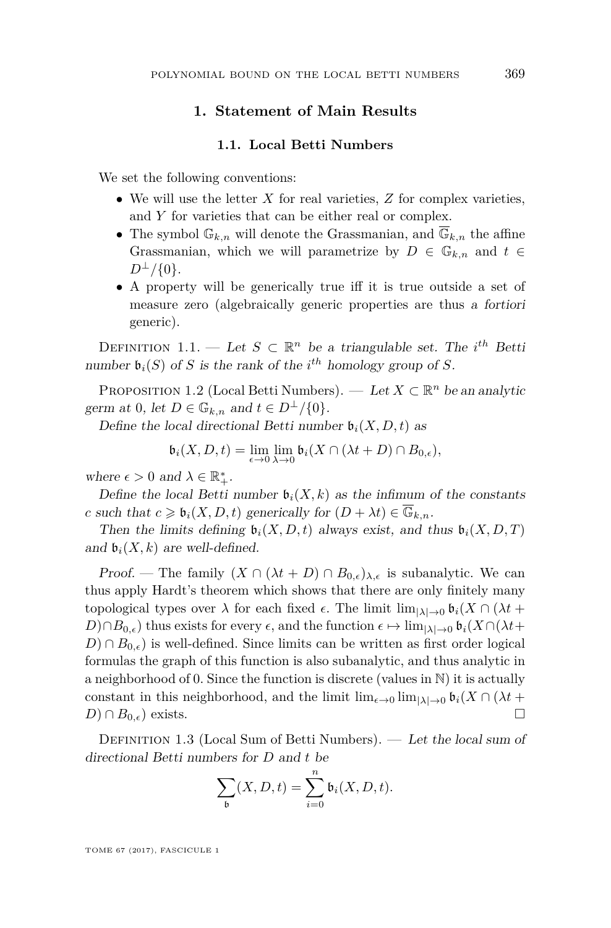#### **1. Statement of Main Results**

#### **1.1. Local Betti Numbers**

We set the following conventions:

- We will use the letter *X* for real varieties, *Z* for complex varieties, and *Y* for varieties that can be either real or complex.
- The symbol  $\mathbb{G}_{k,n}$  will denote the Grassmanian, and  $\overline{\mathbb{G}}_{k,n}$  the affine Grassmanian, which we will parametrize by  $D \in \mathbb{G}_{k,n}$  and  $t \in$  $D^{\perp}/\{0\}.$
- A property will be generically true iff it is true outside a set of measure zero (algebraically generic properties are thus a fortiori generic).

DEFINITION 1.1. — Let  $S \subset \mathbb{R}^n$  be a triangulable set. The *i*<sup>th</sup> Betti number  $\mathfrak{b}_i(S)$  of *S* is the rank of the *i*<sup>th</sup> homology group of *S*.

PROPOSITION 1.2 (Local Betti Numbers). — Let  $X \subset \mathbb{R}^n$  be an analytic germ at 0, let  $D \in \mathbb{G}_{k,n}$  and  $t \in D^{\perp}/\{0\}.$ 

Define the local directional Betti number  $\mathfrak{b}_i(X, D, t)$  as

$$
\mathfrak{b}_i(X,D,t) = \lim_{\epsilon \to 0} \lim_{\lambda \to 0} \mathfrak{b}_i(X \cap (\lambda t + D) \cap B_{0,\epsilon}),
$$

where  $\epsilon > 0$  and  $\lambda \in \mathbb{R}_+^*$ .

Define the local Betti number  $\mathfrak{b}_i(X, k)$  as the infimum of the constants *c* such that  $c \geq \mathfrak{b}_i(X, D, t)$  generically for  $(D + \lambda t) \in \mathbb{G}_{k,n}$ .

Then the limits defining  $\mathfrak{b}_i(X, D, t)$  always exist, and thus  $\mathfrak{b}_i(X, D, T)$ and  $\mathfrak{b}_i(X, k)$  are well-defined.

Proof. — The family  $(X \cap (\lambda t + D) \cap B_{0,\epsilon})_{\lambda,\epsilon}$  is subanalytic. We can thus apply Hardt's theorem which shows that there are only finitely many topological types over  $\lambda$  for each fixed  $\epsilon$ . The limit  $\lim_{|\lambda| \to 0} \mathfrak{b}_i(X \cap (\lambda t +$  $D$ )∩*B*<sub>0</sub>, $\epsilon$ ) thus exists for every  $\epsilon$ , and the function  $\epsilon \mapsto \lim_{|\lambda| \to 0} \mathfrak{b}_i(X \cap (\lambda t +$  $D$ ) ∩  $B_{0,\epsilon}$ ) is well-defined. Since limits can be written as first order logical formulas the graph of this function is also subanalytic, and thus analytic in a neighborhood of 0. Since the function is discrete (values in N) it is actually constant in this neighborhood, and the limit  $\lim_{\epsilon \to 0} \lim_{|\lambda| \to 0} \mathfrak{b}_i(X \cap (\lambda t +$  $D) \cap B_{0,\epsilon}$  exists.

Definition 1.3 (Local Sum of Betti Numbers). — Let the local sum of directional Betti numbers for *D* and *t* be

$$
\sum_{\mathfrak{b}} (X, D, t) = \sum_{i=0}^{n} \mathfrak{b}_i(X, D, t).
$$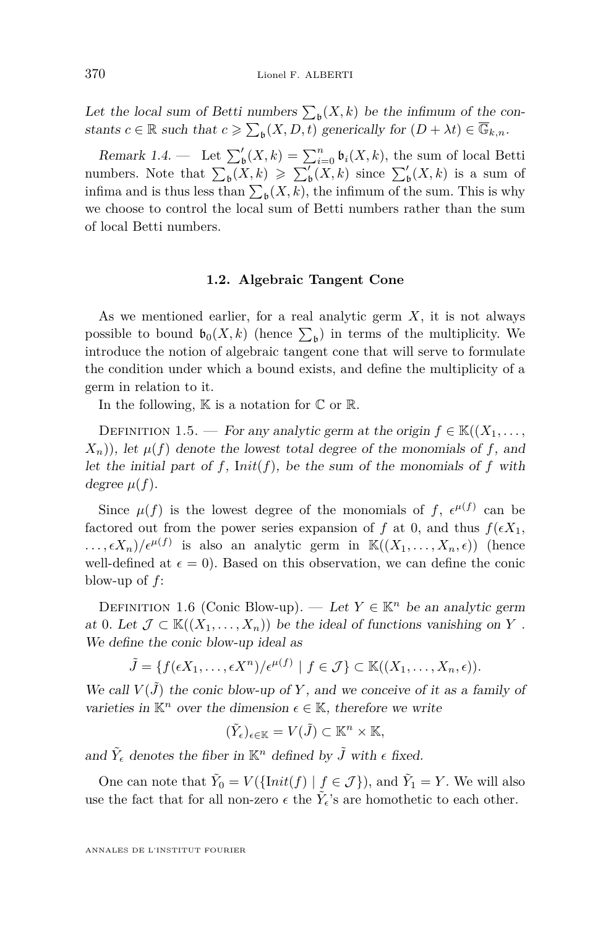Let the local sum of Betti numbers  $\sum_{\mathfrak{b}}(X,k)$  be the infimum of the constants  $c \in \mathbb{R}$  such that  $c \geq \sum_{\mathfrak{b}} (X, D, t)$  generically for  $(D + \lambda t) \in \overline{\mathbb{G}}_{k,n}$ .

Remark 1.4. — Let  $\sum_{\mathfrak{b}}^{\prime}(X,k) = \sum_{i=0}^{n} \mathfrak{b}_i(X,k)$ , the sum of local Betti numbers. Note that  $\sum_{\mathfrak{b}}(X,k) \geqslant \sum_{\mathfrak{b}}'(X,k)$  since  $\sum_{\mathfrak{b}}'(X,k)$  is a sum of infima and is thus less than  $\sum_{\mathfrak{b}}(X, k)$ , the infimum of the sum. This is why we choose to control the local sum of Betti numbers rather than the sum of local Betti numbers.

#### **1.2. Algebraic Tangent Cone**

As we mentioned earlier, for a real analytic germ *X*, it is not always possible to bound  $\mathfrak{b}_0(X,k)$  (hence  $\sum_{\mathfrak{b}}$ ) in terms of the multiplicity. We introduce the notion of algebraic tangent cone that will serve to formulate the condition under which a bound exists, and define the multiplicity of a germ in relation to it.

In the following,  $\mathbb K$  is a notation for  $\mathbb C$  or  $\mathbb R$ .

DEFINITION 1.5. — For any analytic germ at the origin  $f \in K((X_1, \ldots,$  $(X_n)$ , let  $\mu(f)$  denote the lowest total degree of the monomials of f, and let the initial part of  $f$ ,  $Init(f)$ , be the sum of the monomials of  $f$  with degree  $\mu(f)$ .

Since  $\mu(f)$  is the lowest degree of the monomials of f,  $\epsilon^{\mu(f)}$  can be factored out from the power series expansion of f at 0, and thus  $f(\epsilon X_1)$ ,  $\ldots$ ,  $\epsilon X_n$ / $\epsilon^{\mu(f)}$  is also an analytic germ in  $\mathbb{K}((X_1,\ldots,X_n,\epsilon))$  (hence well-defined at  $\epsilon = 0$ ). Based on this observation, we can define the conic blow-up of *f*:

<span id="page-4-0"></span>DEFINITION 1.6 (Conic Blow-up). — Let  $Y \in \mathbb{K}^n$  be an analytic germ at 0. Let  $\mathcal{J} \subset \mathbb{K}((X_1,\ldots,X_n))$  be the ideal of functions vanishing on Y. We define the conic blow-up ideal as

 $\tilde{J} = \{f(\epsilon X_1, \ldots, \epsilon X^n)/\epsilon^{\mu(f)} \mid f \in \mathcal{J}\} \subset \mathbb{K}((X_1, \ldots, X_n, \epsilon)).$ 

We call  $V(\tilde{J})$  the conic blow-up of Y, and we conceive of it as a family of varieties in  $\mathbb{K}^n$  over the dimension  $\epsilon \in \mathbb{K}$ , therefore we write

$$
(\tilde{Y}_{\epsilon})_{\epsilon \in \mathbb{K}} = V(\tilde{J}) \subset \mathbb{K}^n \times \mathbb{K},
$$

and  $\tilde{Y}_{\epsilon}$  denotes the fiber in  $\mathbb{K}^n$  defined by  $\tilde{J}$  with  $\epsilon$  fixed.

One can note that  $\tilde{Y}_0 = V(\{\text{Init}(f) \mid f \in \mathcal{J}\})$ , and  $\tilde{Y}_1 = Y$ . We will also use the fact that for all non-zero  $\epsilon$  the  $\tilde{Y}_\epsilon$ 's are homothetic to each other.

ANNALES DE L'INSTITUT FOURIER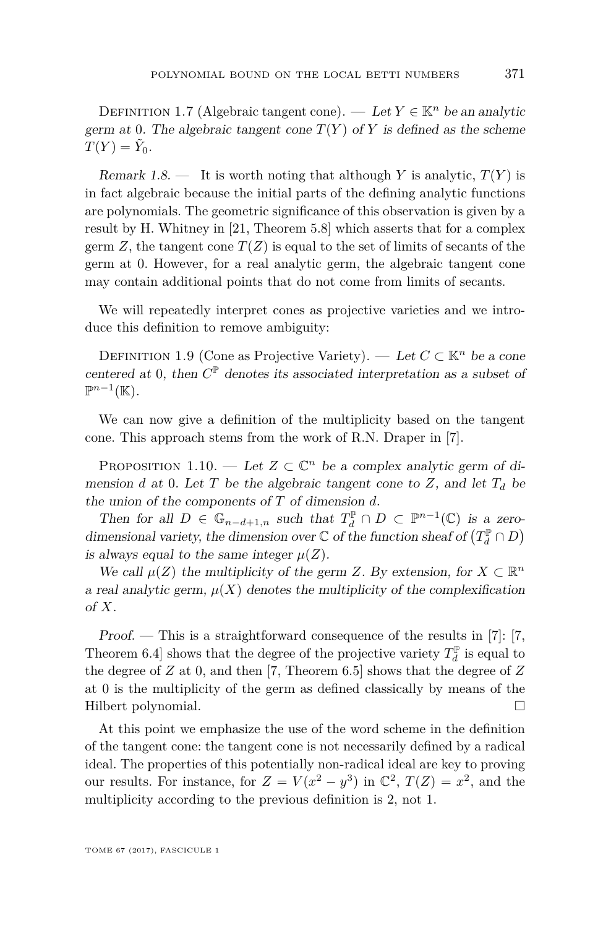DEFINITION 1.7 (Algebraic tangent cone). — Let  $Y \in \mathbb{K}^n$  be an analytic germ at 0. The algebraic tangent cone  $T(Y)$  of *Y* is defined as the scheme  $T(Y) = \tilde{Y}_0.$ 

Remark 1.8.  $\blacksquare$  It is worth noting that although *Y* is analytic,  $T(Y)$  is in fact algebraic because the initial parts of the defining analytic functions are polynomials. The geometric significance of this observation is given by a result by H. Whitney in [\[21,](#page-30-2) Theorem 5.8] which asserts that for a complex germ  $Z$ , the tangent cone  $T(Z)$  is equal to the set of limits of secants of the germ at 0. However, for a real analytic germ, the algebraic tangent cone may contain additional points that do not come from limits of secants.

We will repeatedly interpret cones as projective varieties and we introduce this definition to remove ambiguity:

DEFINITION 1.9 (Cone as Projective Variety). — Let  $C \subset \mathbb{K}^n$  be a cone centered at 0, then  $C^{\mathbb{P}}$  denotes its associated interpretation as a subset of  $\mathbb{P}^{n-1}(\mathbb{K}).$ 

We can now give a definition of the multiplicity based on the tangent cone. This approach stems from the work of R.N. Draper in [\[7\]](#page-29-1).

<span id="page-5-0"></span>PROPOSITION 1.10. — Let  $Z \subset \mathbb{C}^n$  be a complex analytic germ of dimension *d* at 0. Let *T* be the algebraic tangent cone to *Z*, and let  $T_d$  be the union of the components of *T* of dimension *d*.

Then for all  $D \in \mathbb{G}_{n-d+1,n}$  such that  $T_d^{\mathbb{P}} \cap D \subset \mathbb{P}^{n-1}(\mathbb{C})$  is a zerodimensional variety, the dimension over  $\mathbb C$  of the function sheaf of  $\left(T_d^{\mathbb P} \cap D \right)$ is always equal to the same integer  $\mu(Z)$ .

We call  $\mu(Z)$  the multiplicity of the germ *Z*. By extension, for  $X \subset \mathbb{R}^n$ a real analytic germ,  $\mu(X)$  denotes the multiplicity of the complexification of *X*.

Proof. — This is a straightforward consequence of the results in [\[7\]](#page-29-1): [\[7,](#page-29-1) Theorem 6.4] shows that the degree of the projective variety  $T_d^{\mathbb{P}}$  is equal to the degree of *Z* at 0, and then [\[7,](#page-29-1) Theorem 6.5] shows that the degree of *Z* at 0 is the multiplicity of the germ as defined classically by means of the Hilbert polynomial.

At this point we emphasize the use of the word scheme in the definition of the tangent cone: the tangent cone is not necessarily defined by a radical ideal. The properties of this potentially non-radical ideal are key to proving our results. For instance, for  $Z = V(x^2 - y^3)$  in  $\mathbb{C}^2$ ,  $T(Z) = x^2$ , and the multiplicity according to the previous definition is 2, not 1.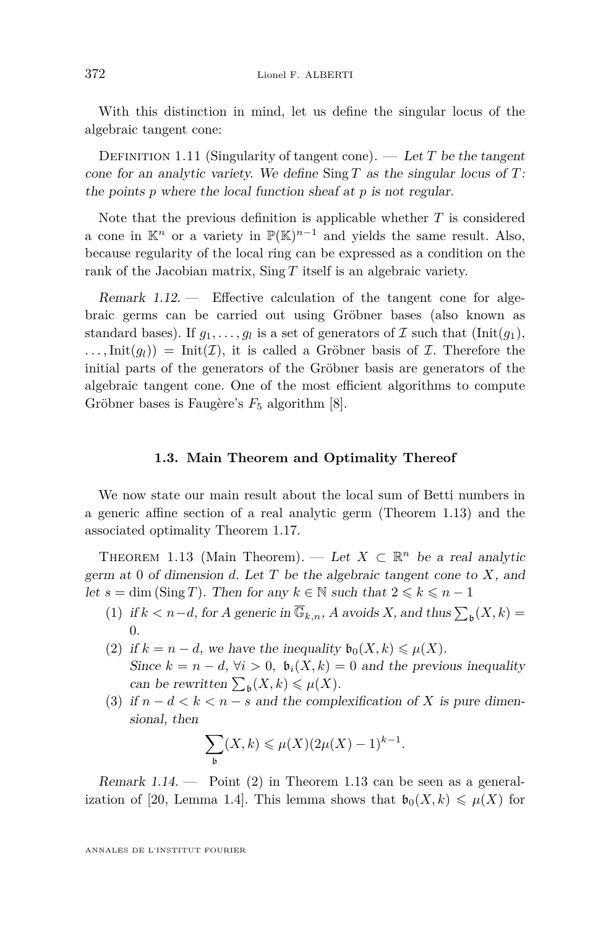With this distinction in mind, let us define the singular locus of the algebraic tangent cone:

DEFINITION 1.11 (Singularity of tangent cone).  $-$  Let T be the tangent cone for an analytic variety. We define Sing *T* as the singular locus of *T*: the points *p* where the local function sheaf at *p* is not regular.

Note that the previous definition is applicable whether *T* is considered a cone in  $\mathbb{K}^n$  or a variety in  $\mathbb{P}(\mathbb{K})^{n-1}$  and yields the same result. Also, because regularity of the local ring can be expressed as a condition on the rank of the Jacobian matrix, Sing *T* itself is an algebraic variety.

<span id="page-6-4"></span>Remark 1.12. — Effective calculation of the tangent cone for algebraic germs can be carried out using Gröbner bases (also known as standard bases). If  $g_1, \ldots, g_l$  is a set of generators of  $\mathcal I$  such that  $(\text{Init}(g_1),$  $\ldots$ , Init $(g_l)$ ) = Init $(\mathcal{I})$ , it is called a Gröbner basis of  $\mathcal{I}$ . Therefore the initial parts of the generators of the Gröbner basis are generators of the algebraic tangent cone. One of the most efficient algorithms to compute Gröbner bases is Faugère's  $F_5$  algorithm [\[8\]](#page-29-12).

#### **1.3. Main Theorem and Optimality Thereof**

We now state our main result about the local sum of Betti numbers in a generic affine section of a real analytic germ (Theorem [1.13\)](#page-6-0) and the associated optimality Theorem [1.17.](#page-8-1)

<span id="page-6-0"></span>THEOREM 1.13 (Main Theorem). — Let  $X \subset \mathbb{R}^n$  be a real analytic germ at 0 of dimension *d*. Let *T* be the algebraic tangent cone to *X*, and let  $s = \dim (\text{Sing } T)$ . Then for any  $k \in \mathbb{N}$  such that  $2 \leq k \leq n - 1$ 

- <span id="page-6-2"></span>(1) if  $k < n-d$ , for *A* generic in  $\overline{\mathbb{G}}_{k,n}$ , *A* avoids *X*, and thus  $\sum_{\mathfrak{b}} (X, k) =$ 0.
- <span id="page-6-1"></span>(2) if  $k = n - d$ , we have the inequality  $\mathfrak{b}_0(X, k) \leq \mu(X)$ . Since  $k = n - d$ ,  $\forall i > 0$ ,  $\mathfrak{b}_i(X, k) = 0$  and the previous inequality can be rewritten  $\sum_{\mathfrak{b}}(X,k) \leq \mu(X)$ .
- <span id="page-6-3"></span>(3) if  $n - d < k < n - s$  and the complexification of X is pure dimensional, then

$$
\sum_{\mathfrak{b}}(X,k)\leqslant\mu(X)(2\mu(X)-1)^{k-1}.
$$

Remark 1.14.  $\longrightarrow$  Point [\(2\)](#page-6-1) in Theorem [1.13](#page-6-0) can be seen as a general-ization of [\[20,](#page-30-3) Lemma 1.4]. This lemma shows that  $\mathfrak{b}_0(X,k) \leq \mu(X)$  for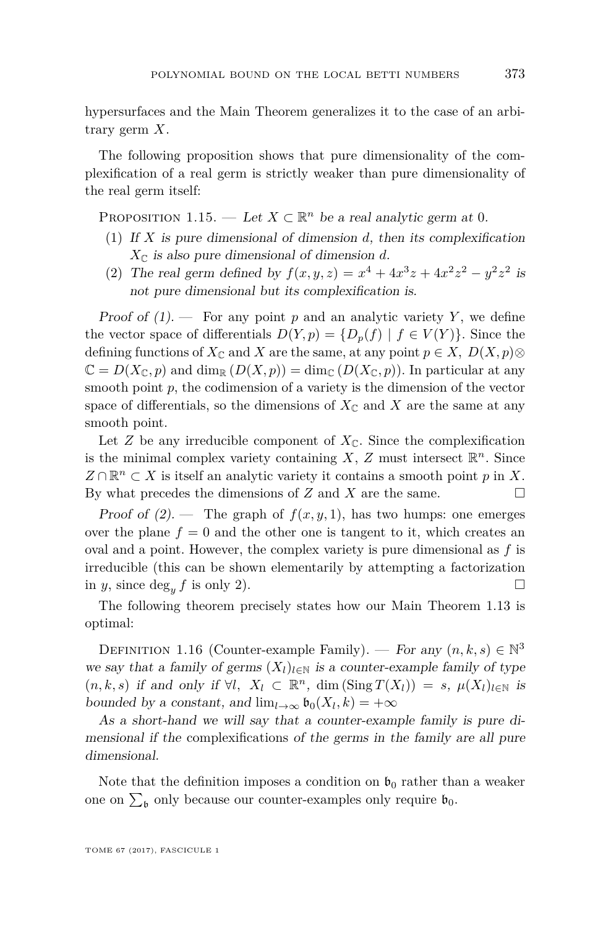hypersurfaces and the Main Theorem generalizes it to the case of an arbitrary germ *X*.

The following proposition shows that pure dimensionality of the complexification of a real germ is strictly weaker than pure dimensionality of the real germ itself:

PROPOSITION 1.15. — Let  $X \subset \mathbb{R}^n$  be a real analytic germ at 0.

- <span id="page-7-0"></span>(1) If *X* is pure dimensional of dimension *d*, then its complexification  $X_{\mathbb{C}}$  is also pure dimensional of dimension *d*.
- <span id="page-7-1"></span>(2) The real germ defined by  $f(x, y, z) = x^4 + 4x^3z + 4x^2z^2 - y^2z^2$  is not pure dimensional but its complexification is.

Proof of  $(1)$ . – For any point p and an analytic variety Y, we define the vector space of differentials  $D(Y, p) = \{D_p(f) | f \in V(Y)\}\)$ . Since the defining functions of  $X_{\mathbb{C}}$  and *X* are the same, at any point  $p \in X$ ,  $D(X, p)$ ⊗  $\mathbb{C} = D(X_{\mathbb{C}}, p)$  and dim<sub>R</sub>  $(D(X, p)) = \dim_{\mathbb{C}} (D(X_{\mathbb{C}}, p))$ . In particular at any smooth point  $p$ , the codimension of a variety is the dimension of the vector space of differentials, so the dimensions of  $X_{\mathbb{C}}$  and  $X$  are the same at any smooth point.

Let *Z* be any irreducible component of  $X_{\mathbb{C}}$ . Since the complexification is the minimal complex variety containing  $X$ ,  $Z$  must intersect  $\mathbb{R}^n$ . Since  $Z \cap \mathbb{R}^n$  ⊂ *X* is itself an analytic variety it contains a smooth point *p* in *X*. By what precedes the dimensions of *Z* and *X* are the same.

Proof of  $(2)$ . — The graph of  $f(x, y, 1)$ , has two humps: one emerges over the plane  $f = 0$  and the other one is tangent to it, which creates an oval and a point. However, the complex variety is pure dimensional as *f* is irreducible (this can be shown elementarily by attempting a factorization in *y*, since  $\deg_u f$  is only 2).

The following theorem precisely states how our Main Theorem [1.13](#page-6-0) is optimal:

DEFINITION 1.16 (Counter-example Family). — For any  $(n, k, s) \in \mathbb{N}^3$ we say that a family of germs  $(X_l)_{l \in \mathbb{N}}$  is a counter-example family of type  $(n, k, s)$  if and only if  $\forall l, X_l \subset \mathbb{R}^n$ , dim  $(\text{Sing } T(X_l)) = s$ ,  $\mu(X_l)_{l \in \mathbb{N}}$  is bounded by a constant, and  $\lim_{l\to\infty} \mathfrak{b}_0(X_l, k) = +\infty$ 

As a short-hand we will say that a counter-example family is pure dimensional if the complexifications of the germs in the family are all pure dimensional.

Note that the definition imposes a condition on  $\mathfrak{b}_0$  rather than a weaker one on  $\sum_{\mathfrak{b}}$  only because our counter-examples only require  $\mathfrak{b}_0$ .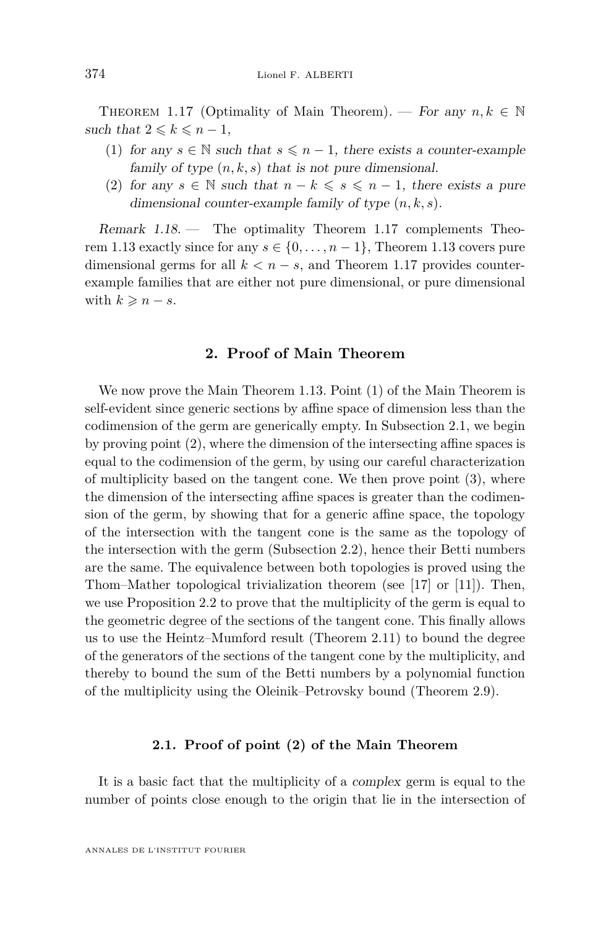<span id="page-8-1"></span>THEOREM 1.17 (Optimality of Main Theorem). — For any  $n, k \in \mathbb{N}$ such that  $2 \leq k \leq n-1$ ,

- (1) for any  $s \in \mathbb{N}$  such that  $s \leq n-1$ , there exists a counter-example family of type  $(n, k, s)$  that is not pure dimensional.
- (2) for any  $s \in \mathbb{N}$  such that  $n k \leqslant s \leqslant n 1$ , there exists a pure dimensional counter-example family of type (*n, k, s*).

Remark 1.18. — The optimality Theorem [1.17](#page-8-1) complements Theo-rem [1.13](#page-6-0) exactly since for any  $s \in \{0, \ldots, n-1\}$ , Theorem 1.13 covers pure dimensional germs for all  $k < n - s$ , and Theorem [1.17](#page-8-1) provides counterexample families that are either not pure dimensional, or pure dimensional with  $k \geqslant n - s$ .

#### **2. Proof of Main Theorem**

<span id="page-8-0"></span>We now prove the Main Theorem [1.13.](#page-6-0) Point [\(1\)](#page-6-2) of the Main Theorem is self-evident since generic sections by affine space of dimension less than the codimension of the germ are generically empty. In Subsection [2.1,](#page-8-2) we begin by proving point [\(2\)](#page-6-1), where the dimension of the intersecting affine spaces is equal to the codimension of the germ, by using our careful characterization of multiplicity based on the tangent cone. We then prove point [\(3\)](#page-6-3), where the dimension of the intersecting affine spaces is greater than the codimension of the germ, by showing that for a generic affine space, the topology of the intersection with the tangent cone is the same as the topology of the intersection with the germ (Subsection [2.2\)](#page-10-0), hence their Betti numbers are the same. The equivalence between both topologies is proved using the Thom–Mather topological trivialization theorem (see [\[17\]](#page-29-3) or [\[11\]](#page-29-2)). Then, we use Proposition [2.2](#page-9-0) to prove that the multiplicity of the germ is equal to the geometric degree of the sections of the tangent cone. This finally allows us to use the Heintz–Mumford result (Theorem [2.11\)](#page-16-0) to bound the degree of the generators of the sections of the tangent cone by the multiplicity, and thereby to bound the sum of the Betti numbers by a polynomial function of the multiplicity using the Oleinik–Petrovsky bound (Theorem [2.9\)](#page-15-0).

#### **2.1. Proof of point (2) of the Main Theorem**

<span id="page-8-2"></span>It is a basic fact that the multiplicity of a complex germ is equal to the number of points close enough to the origin that lie in the intersection of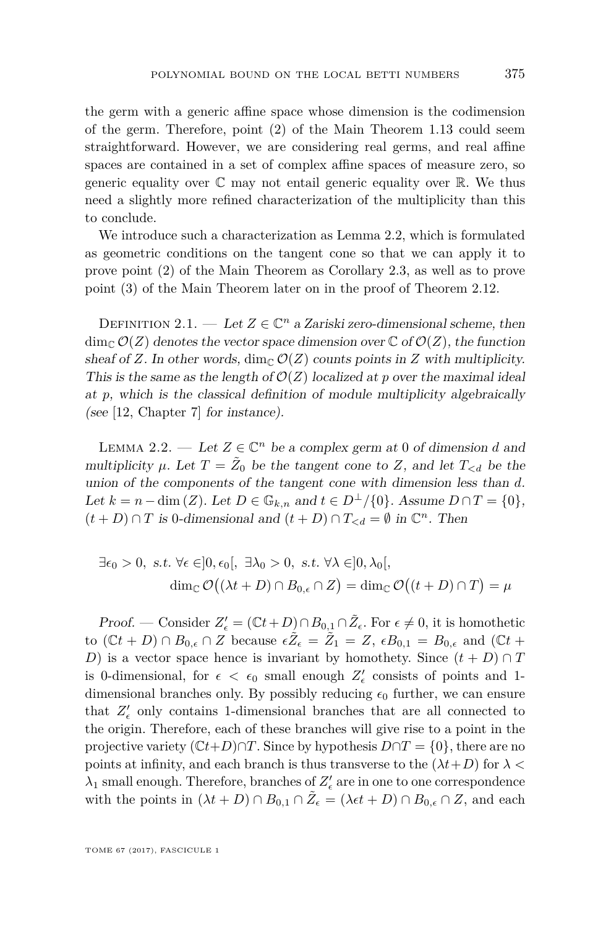the germ with a generic affine space whose dimension is the codimension of the germ. Therefore, point [\(2\)](#page-6-1) of the Main Theorem [1.13](#page-6-0) could seem straightforward. However, we are considering real germs, and real affine spaces are contained in a set of complex affine spaces of measure zero, so generic equality over  $\mathbb C$  may not entail generic equality over  $\mathbb R$ . We thus need a slightly more refined characterization of the multiplicity than this to conclude.

We introduce such a characterization as Lemma [2.2,](#page-9-0) which is formulated as geometric conditions on the tangent cone so that we can apply it to prove point [\(2\)](#page-6-1) of the Main Theorem as Corollary [2.3,](#page-10-1) as well as to prove point [\(3\)](#page-6-3) of the Main Theorem later on in the proof of Theorem [2.12.](#page-16-1)

DEFINITION 2.1. — Let  $Z \in \mathbb{C}^n$  a Zariski zero-dimensional scheme, then  $\dim_{\mathbb{C}} \mathcal{O}(Z)$  denotes the vector space dimension over  $\mathbb{C}$  of  $\mathcal{O}(Z)$ , the function sheaf of *Z*. In other words, dim<sub>C</sub>  $\mathcal{O}(Z)$  counts points in *Z* with multiplicity. This is the same as the length of  $\mathcal{O}(Z)$  localized at p over the maximal ideal at *p*, which is the classical definition of module multiplicity algebraically (see [\[12,](#page-29-13) Chapter 7] for instance).

<span id="page-9-0"></span>LEMMA 2.2. — Let  $Z \in \mathbb{C}^n$  be a complex germ at 0 of dimension *d* and multiplicity  $\mu$ . Let  $T = \tilde{Z}_0$  be the tangent cone to  $Z$ , and let  $T_{\le d}$  be the union of the components of the tangent cone with dimension less than *d*. Let  $k = n - \dim(Z)$ . Let  $D \in \mathbb{G}_{k,n}$  and  $t \in D^{\perp}/\{0\}$ . Assume  $D \cap T = \{0\}$ ,  $(t+D) \cap T$  is 0-dimensional and  $(t+D) \cap T_{< d} = \emptyset$  in  $\mathbb{C}^n$ . Then

$$
\exists \epsilon_0 > 0, \ s.t. \ \forall \epsilon \in ]0, \epsilon_0[, \ \exists \lambda_0 > 0, \ s.t. \ \forall \lambda \in ]0, \lambda_0[,
$$

$$
\dim_{\mathbb{C}} \mathcal{O}((\lambda t + D) \cap B_{0,\epsilon} \cap Z) = \dim_{\mathbb{C}} \mathcal{O}((t + D) \cap T) = \mu
$$

Proof. — Consider  $Z'_{\epsilon} = (\mathbb{C}t + D) \cap B_{0,1} \cap \tilde{Z}_{\epsilon}$ . For  $\epsilon \neq 0$ , it is homothetic to  $(\mathbb{C}t + D) \cap B_{0,\epsilon} \cap Z$  because  $\epsilon \tilde{Z}_{\epsilon} = \tilde{Z}_1 = Z$ ,  $\epsilon B_{0,1} = B_{0,\epsilon}$  and  $(\mathbb{C}t + D)$ *D*) is a vector space hence is invariant by homothety. Since  $(t + D) \cap T$ is 0-dimensional, for  $\epsilon < \epsilon_0$  small enough  $Z'_{\epsilon}$  consists of points and 1dimensional branches only. By possibly reducing  $\epsilon_0$  further, we can ensure that  $Z'_{\epsilon}$  only contains 1-dimensional branches that are all connected to the origin. Therefore, each of these branches will give rise to a point in the projective variety  $(Ct+D)\cap T$ . Since by hypothesis  $D\cap T = \{0\}$ , there are no points at infinity, and each branch is thus transverse to the  $(\lambda t + D)$  for  $\lambda <$  $\lambda_1$  small enough. Therefore, branches of  $Z'_\epsilon$  are in one to one correspondence with the points in  $(\lambda t + D) \cap B_{0,1} \cap \tilde{Z}_{\epsilon} = (\lambda \epsilon t + D) \cap B_{0,\epsilon} \cap Z$ , and each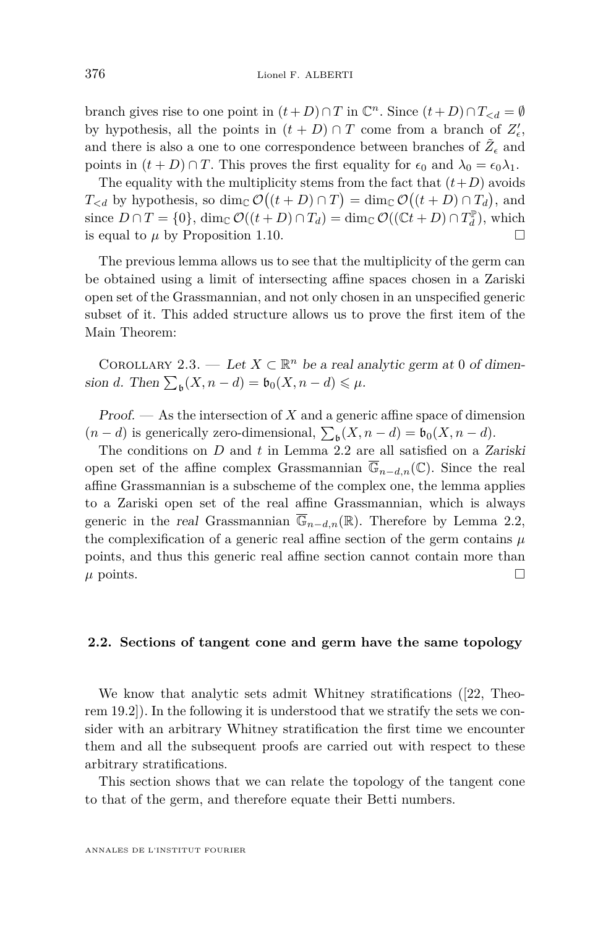branch gives rise to one point in  $(t+D) \cap T$  in  $\mathbb{C}^n$ . Since  $(t+D) \cap T_{\le d} = \emptyset$ by hypothesis, all the points in  $(t+D) \cap T$  come from a branch of  $Z'_{\epsilon}$ , and there is also a one to one correspondence between branches of  $\tilde{Z}_\epsilon$  and points in  $(t+D) \cap T$ . This proves the first equality for  $\epsilon_0$  and  $\lambda_0 = \epsilon_0 \lambda_1$ .

The equality with the multiplicity stems from the fact that  $(t+D)$  avoids  $T_{\le d}$  by hypothesis, so dim<sub>C</sub>  $\mathcal{O}((t+D) \cap T) = \dim_{\mathbb{C}} \mathcal{O}((t+D) \cap T_d)$ , and since  $D \cap T = \{0\}$ ,  $\dim_{\mathbb{C}} \mathcal{O}((t+D) \cap T_d) = \dim_{\mathbb{C}} \mathcal{O}((\mathbb{C}t+D) \cap T_d^{\mathbb{P}})$ , which is equal to  $\mu$  by Proposition [1.10.](#page-5-0)

The previous lemma allows us to see that the multiplicity of the germ can be obtained using a limit of intersecting affine spaces chosen in a Zariski open set of the Grassmannian, and not only chosen in an unspecified generic subset of it. This added structure allows us to prove the first item of the Main Theorem:

<span id="page-10-1"></span>COROLLARY 2.3. — Let  $X \subset \mathbb{R}^n$  be a real analytic germ at 0 of dimension *d*. Then  $\sum_{\mathfrak{b}} (X, n - d) = \mathfrak{b}_0(X, n - d) \leq \mu$ .

Proof. — As the intersection of *X* and a generic affine space of dimension  $(n-d)$  is generically zero-dimensional,  $\sum_{\mathfrak{b}}(X, n-d) = \mathfrak{b}_0(X, n-d)$ .

The conditions on *D* and *t* in Lemma [2.2](#page-9-0) are all satisfied on a Zariski open set of the affine complex Grassmannian  $\overline{\mathbb{G}}_{n-d,n}(\mathbb{C})$ . Since the real affine Grassmannian is a subscheme of the complex one, the lemma applies to a Zariski open set of the real affine Grassmannian, which is always generic in the real Grassmannian  $\overline{\mathbb{G}}_{n-d,n}(\mathbb{R})$ . Therefore by Lemma [2.2,](#page-9-0) the complexification of a generic real affine section of the germ contains  $\mu$ points, and thus this generic real affine section cannot contain more than  $\mu$  points.

#### <span id="page-10-0"></span>**2.2. Sections of tangent cone and germ have the same topology**

We know that analytic sets admit Whitney stratifications ([\[22,](#page-30-4) Theorem 19.2]). In the following it is understood that we stratify the sets we consider with an arbitrary Whitney stratification the first time we encounter them and all the subsequent proofs are carried out with respect to these arbitrary stratifications.

This section shows that we can relate the topology of the tangent cone to that of the germ, and therefore equate their Betti numbers.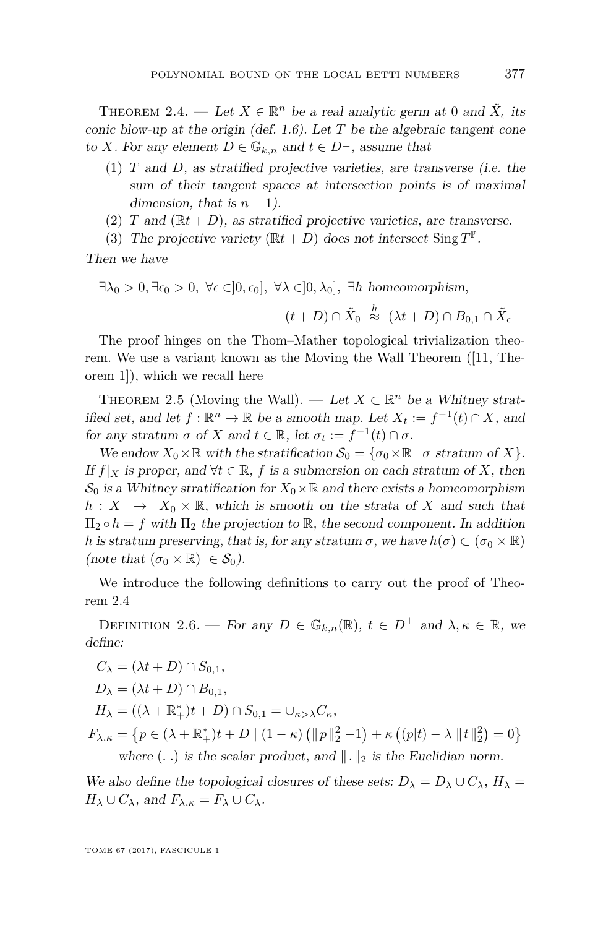<span id="page-11-0"></span>THEOREM 2.4. — Let  $X \in \mathbb{R}^n$  be a real analytic germ at 0 and  $\tilde{X}_{\epsilon}$  its conic blow-up at the origin (def. [1.6\)](#page-4-0). Let *T* be the algebraic tangent cone to *X*. For any element  $D \in \mathbb{G}_{k,n}$  and  $t \in D^{\perp}$ , assume that

- <span id="page-11-1"></span>(1) *T* and *D*, as stratified projective varieties, are transverse (i.e. the sum of their tangent spaces at intersection points is of maximal dimension, that is  $n-1$ ).
- <span id="page-11-2"></span>(2) *T* and  $(\mathbb{R}t + D)$ , as stratified projective varieties, are transverse.
- <span id="page-11-3"></span>(3) The projective variety  $(\mathbb{R}t + D)$  does not intersect Sing  $T^{\mathbb{P}}$ .

Then we have

 $\exists \lambda_0 > 0, \exists \epsilon_0 > 0, \ \forall \epsilon \in ]0, \epsilon_0], \ \forall \lambda \in ]0, \lambda_0], \ \exists h \ \text{homeomorphism},$  $(t+D)\cap \tilde{X}_0$  $\stackrel{h}{\approx}$  ( $\lambda t + D$ ) ∩  $B_{0,1}$  ∩  $\tilde{X}_{\epsilon}$ 

The proof hinges on the Thom–Mather topological trivialization theorem. We use a variant known as the Moving the Wall Theorem ([\[11,](#page-29-2) Theorem 1]), which we recall here

THEOREM 2.5 (Moving the Wall). — Let  $X \subset \mathbb{R}^n$  be a Whitney stratified set, and let  $f : \mathbb{R}^n \to \mathbb{R}$  be a smooth map. Let  $X_t := f^{-1}(t) \cap X$ , and for any stratum  $\sigma$  of  $X$  and  $t \in \mathbb{R}$ , let  $\sigma_t := f^{-1}(t) \cap \sigma$ .

We endow  $X_0 \times \mathbb{R}$  with the stratification  $\mathcal{S}_0 = {\sigma_0 \times \mathbb{R} \mid \sigma \text{ stratum of } X}$ . If  $f|_X$  is proper, and  $\forall t \in \mathbb{R}$ , f is a submersion on each stratum of X, then  $\mathcal{S}_0$  is a Whitney stratification for  $X_0 \times \mathbb{R}$  and there exists a homeomorphism  $h: X \rightarrow X_0 \times \mathbb{R}$ , which is smooth on the strata of *X* and such that  $\Pi_2 \circ h = f$  with  $\Pi_2$  the projection to R, the second component. In addition *h* is stratum preserving, that is, for any stratum  $\sigma$ , we have  $h(\sigma) \subset (\sigma_0 \times \mathbb{R})$ (note that  $(\sigma_0 \times \mathbb{R}) \in \mathcal{S}_0$ ).

We introduce the following definitions to carry out the proof of Theorem [2.4](#page-11-0)

DEFINITION 2.6. — For any  $D \in \mathbb{G}_{k,n}(\mathbb{R})$ ,  $t \in D^{\perp}$  and  $\lambda, \kappa \in \mathbb{R}$ , we define:

$$
C_{\lambda} = (\lambda t + D) \cap S_{0,1},
$$
  
\n
$$
D_{\lambda} = (\lambda t + D) \cap B_{0,1},
$$
  
\n
$$
H_{\lambda} = ((\lambda + \mathbb{R}_{+}^{*})t + D) \cap S_{0,1} = \cup_{\kappa > \lambda} C_{\kappa},
$$
  
\n
$$
F_{\lambda,\kappa} = \{p \in (\lambda + \mathbb{R}_{+}^{*})t + D \mid (1 - \kappa) (\|p\|_{2}^{2} - 1) + \kappa ((p|t) - \lambda \|t\|_{2}^{2}) = 0 \}
$$
  
\nwhere (.].) is the scalar product, and  $\|.\|_{2}$  is the Euclidean norm.

We also define the topological closures of these sets:  $\overline{D_{\lambda}} = D_{\lambda} \cup C_{\lambda}$ ,  $\overline{H_{\lambda}} =$  $H_{\lambda} \cup C_{\lambda}$ , and  $\overline{F_{\lambda,\kappa}} = F_{\lambda} \cup C_{\lambda}$ .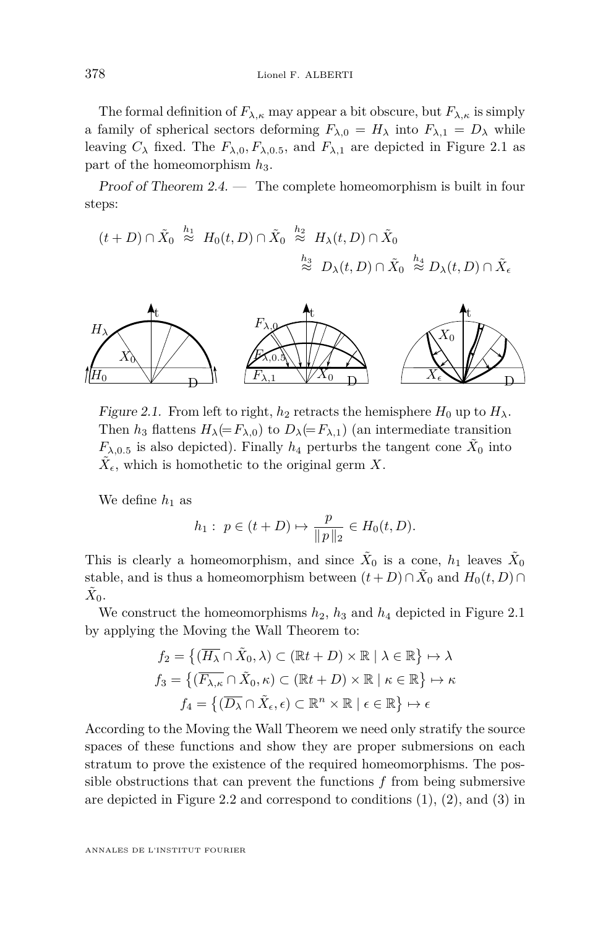The formal definition of  $F_{\lambda,\kappa}$  may appear a bit obscure, but  $F_{\lambda,\kappa}$  is simply a family of spherical sectors deforming  $F_{\lambda,0} = H_{\lambda}$  into  $F_{\lambda,1} = D_{\lambda}$  while leaving  $C_{\lambda}$  fixed. The  $F_{\lambda,0}, F_{\lambda,0.5}$ , and  $F_{\lambda,1}$  are depicted in Figure [2.1](#page-12-0) as part of the homeomorphism *h*3.

Proof of Theorem [2.4.](#page-11-0) — The complete homeomorphism is built in four steps:

 $(t+D) \cap \tilde{X}_0 \stackrel{h_1}{\approx} H_0(t,D) \cap \tilde{X}_0 \stackrel{h_2}{\approx} H_\lambda(t,D) \cap \tilde{X}_0$  $\stackrel{h_3}{\approx} D_{\lambda}(t, D) \cap \tilde{X}_{0} \stackrel{h_4}{\approx} D_{\lambda}(t, D) \cap \tilde{X}_{\epsilon}$ 

<span id="page-12-0"></span>

Figure 2.1. From left to right,  $h_2$  retracts the hemisphere  $H_0$  up to  $H_\lambda$ . Then  $h_3$  flattens  $H_\lambda(=F_{\lambda,0})$  to  $D_\lambda(=F_{\lambda,1})$  (an intermediate transition  $F_{\lambda,0.5}$  is also depicted). Finally  $h_4$  perturbs the tangent cone  $\tilde{X}_0$  into  $\tilde{X}_{\epsilon}$ , which is homothetic to the original germ *X*.

We define  $h_1$  as

$$
h_1: p \in (t+D) \mapsto \frac{p}{\|p\|_2} \in H_0(t, D).
$$

This is clearly a homeomorphism, and since  $\tilde{X}_0$  is a cone,  $h_1$  leaves  $\tilde{X}_0$ stable, and is thus a homeomorphism between  $(t+D) \cap \tilde{X}_0$  and  $H_0(t,D) \cap$  $\tilde{X}_0$ .

We construct the homeomorphisms  $h_2$ ,  $h_3$  and  $h_4$  depicted in Figure [2.1](#page-12-0) by applying the Moving the Wall Theorem to:

$$
f_2 = \{ (\overline{H_{\lambda}} \cap \tilde{X}_0, \lambda) \subset (\mathbb{R}t + D) \times \mathbb{R} \mid \lambda \in \mathbb{R} \} \mapsto \lambda
$$
  

$$
f_3 = \{ (\overline{F_{\lambda,\kappa}} \cap \tilde{X}_0, \kappa) \subset (\mathbb{R}t + D) \times \mathbb{R} \mid \kappa \in \mathbb{R} \} \mapsto \kappa
$$
  

$$
f_4 = \{ (\overline{D_{\lambda}} \cap \tilde{X}_{\epsilon}, \epsilon) \subset \mathbb{R}^n \times \mathbb{R} \mid \epsilon \in \mathbb{R} \} \mapsto \epsilon
$$

According to the Moving the Wall Theorem we need only stratify the source spaces of these functions and show they are proper submersions on each stratum to prove the existence of the required homeomorphisms. The possible obstructions that can prevent the functions *f* from being submersive are depicted in Figure [2.2](#page-13-0) and correspond to conditions  $(1)$ ,  $(2)$ , and  $(3)$  in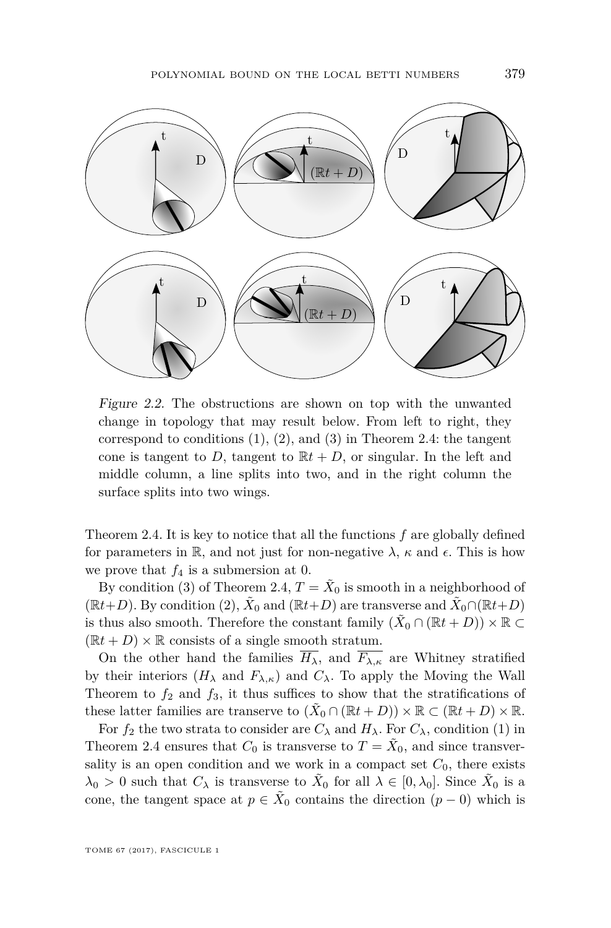<span id="page-13-0"></span>

Figure 2.2. The obstructions are shown on top with the unwanted change in topology that may result below. From left to right, they correspond to conditions  $(1)$ ,  $(2)$ , and  $(3)$  in Theorem [2.4:](#page-11-0) the tangent cone is tangent to *D*, tangent to  $\mathbb{R}t + D$ , or singular. In the left and middle column, a line splits into two, and in the right column the surface splits into two wings.

Theorem [2.4.](#page-11-0) It is key to notice that all the functions *f* are globally defined for parameters in R, and not just for non-negative  $\lambda$ ,  $\kappa$  and  $\epsilon$ . This is how we prove that  $f_4$  is a submersion at 0.

By condition [\(3\)](#page-11-3) of Theorem [2.4,](#page-11-0)  $T = \tilde{X}_0$  is smooth in a neighborhood of  $(\mathbb{R}t+D)$ . By condition [\(2\)](#page-11-2),  $\tilde{X}_0$  and  $(\mathbb{R}t+D)$  are transverse and  $\tilde{X}_0 \cap (\mathbb{R}t+D)$ is thus also smooth. Therefore the constant family  $(\tilde{X}_0 \cap (\mathbb{R}t + D)) \times \mathbb{R} \subset$  $(\mathbb{R}t + D) \times \mathbb{R}$  consists of a single smooth stratum.

On the other hand the families  $\overline{H_{\lambda}}$ , and  $\overline{F_{\lambda,\kappa}}$  are Whitney stratified by their interiors  $(H_\lambda \text{ and } F_{\lambda,\kappa})$  and  $C_\lambda$ . To apply the Moving the Wall Theorem to  $f_2$  and  $f_3$ , it thus suffices to show that the stratifications of these latter families are transerve to  $(\tilde{X}_0 \cap (\mathbb{R}t + D)) \times \mathbb{R} \subset (\mathbb{R}t + D) \times \mathbb{R}$ .

For  $f_2$  the two strata to consider are  $C_\lambda$  and  $H_\lambda$ . For  $C_\lambda$ , condition [\(1\)](#page-11-1) in Theorem [2.4](#page-11-0) ensures that  $C_0$  is transverse to  $T = \tilde{X}_0$ , and since transversality is an open condition and we work in a compact set  $C_0$ , there exists  $\lambda_0 > 0$  such that  $C_{\lambda}$  is transverse to  $\tilde{X}_0$  for all  $\lambda \in [0, \lambda_0]$ . Since  $\tilde{X}_0$  is a cone, the tangent space at  $p \in \tilde{X}_0$  contains the direction  $(p-0)$  which is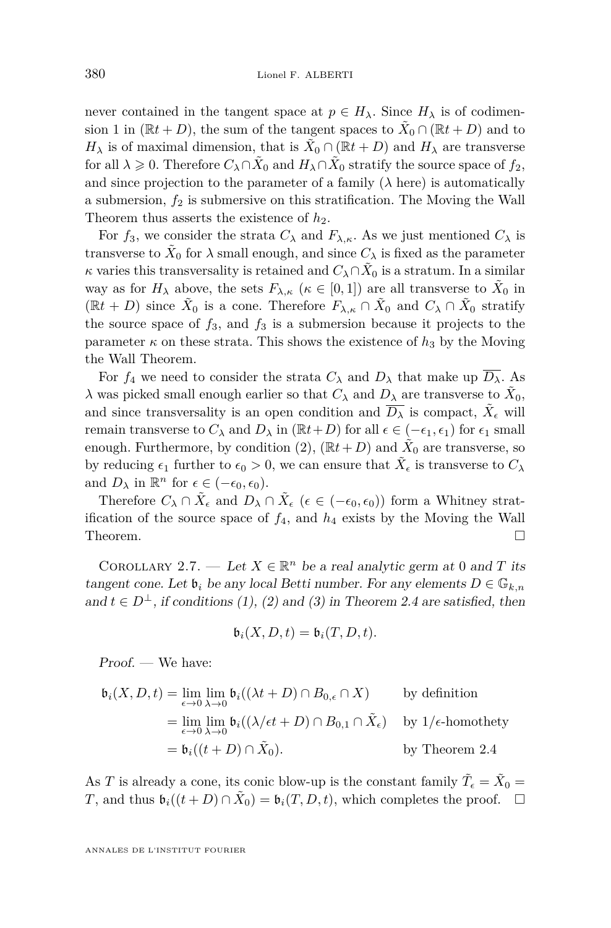never contained in the tangent space at  $p \in H_{\lambda}$ . Since  $H_{\lambda}$  is of codimension 1 in  $(\mathbb{R}t + D)$ , the sum of the tangent spaces to  $\tilde{X}_0 \cap (\mathbb{R}t + D)$  and to *H*<sub> $\lambda$ </sub> is of maximal dimension, that is  $\tilde{X}_0 \cap (\mathbb{R}t + D)$  and  $H_{\lambda}$  are transverse for all  $\lambda \geq 0$ . Therefore  $C_{\lambda} \cap \tilde{X}_0$  and  $H_{\lambda} \cap \tilde{X}_0$  stratify the source space of  $f_2$ , and since projection to the parameter of a family  $(\lambda$  here) is automatically a submersion,  $f_2$  is submersive on this stratification. The Moving the Wall Theorem thus asserts the existence of  $h_2$ .

For  $f_3$ , we consider the strata  $C_\lambda$  and  $F_{\lambda,\kappa}$ . As we just mentioned  $C_\lambda$  is transverse to  $\tilde{X}_0$  for  $\lambda$  small enough, and since  $C_{\lambda}$  is fixed as the parameter *κ* varies this transversality is retained and  $C_{\lambda} \cap \tilde{X}_0$  is a stratum. In a similar way as for  $H_{\lambda}$  above, the sets  $F_{\lambda,\kappa}$  ( $\kappa \in [0,1]$ ) are all transverse to  $\tilde{X}_0$  in  $(\mathbb{R}t + D)$  since  $\tilde{X}_0$  is a cone. Therefore  $F_{\lambda,\kappa} \cap \tilde{X}_0$  and  $C_{\lambda} \cap \tilde{X}_0$  stratify the source space of  $f_3$ , and  $f_3$  is a submersion because it projects to the parameter  $\kappa$  on these strata. This shows the existence of  $h_3$  by the Moving the Wall Theorem.

For  $f_4$  we need to consider the strata  $C_\lambda$  and  $D_\lambda$  that make up  $\overline{D_\lambda}$ . As *λ* was picked small enough earlier so that  $C_λ$  and  $D_λ$  are transverse to  $\tilde{X}_0$ , and since transversality is an open condition and  $\overline{D_{\lambda}}$  is compact,  $\tilde{X}_{\epsilon}$  will remain transverse to  $C_{\lambda}$  and  $D_{\lambda}$  in ( $\mathbb{R}t+D$ ) for all  $\epsilon \in (-\epsilon_1, \epsilon_1)$  for  $\epsilon_1$  small enough. Furthermore, by condition  $(2)$ ,  $(\mathbb{R}t+D)$  and  $\tilde{X}_0$  are transverse, so by reducing  $\epsilon_1$  further to  $\epsilon_0 > 0$ , we can ensure that  $\tilde{X}_{\epsilon}$  is transverse to  $C_{\lambda}$ and  $D_{\lambda}$  in  $\mathbb{R}^{n}$  for  $\epsilon \in (-\epsilon_{0}, \epsilon_{0}).$ 

Therefore  $C_{\lambda} \cap \tilde{X}_{\epsilon}$  and  $D_{\lambda} \cap \tilde{X}_{\epsilon}$  ( $\epsilon \in (-\epsilon_0, \epsilon_0)$ ) form a Whitney stratification of the source space of  $f_4$ , and  $h_4$  exists by the Moving the Wall Theorem.  $\Box$ 

COROLLARY 2.7. — Let  $X \in \mathbb{R}^n$  be a real analytic germ at 0 and *T* its tangent cone. Let  $\mathfrak{b}_i$  be any local Betti number. For any elements  $D \in \mathbb{G}_{k,n}$ and  $t \in D^{\perp}$ , if conditions [\(1\)](#page-11-1), [\(2\)](#page-11-2) and [\(3\)](#page-11-3) in Theorem [2.4](#page-11-0) are satisfied, then

$$
\mathfrak{b}_i(X,D,t) = \mathfrak{b}_i(T,D,t).
$$

Proof. — We have:

$$
\mathfrak{b}_i(X, D, t) = \lim_{\epsilon \to 0} \lim_{\lambda \to 0} \mathfrak{b}_i((\lambda t + D) \cap B_{0,\epsilon} \cap X) \qquad \text{by definition}
$$
  
\n
$$
= \lim_{\epsilon \to 0} \lim_{\lambda \to 0} \mathfrak{b}_i((\lambda/\epsilon t + D) \cap B_{0,1} \cap \tilde{X}_{\epsilon}) \qquad \text{by 1/\epsilon-homothety}
$$
  
\n
$$
= \mathfrak{b}_i((t + D) \cap \tilde{X}_0).
$$

As *T* is already a cone, its conic blow-up is the constant family  $\tilde{T}_{\epsilon} = \tilde{X}_0 =$ *T*, and thus  $\mathfrak{b}_i((t+D) \cap \tilde{X}_0) = \mathfrak{b}_i(T, D, t)$ , which completes the proof.  $\Box$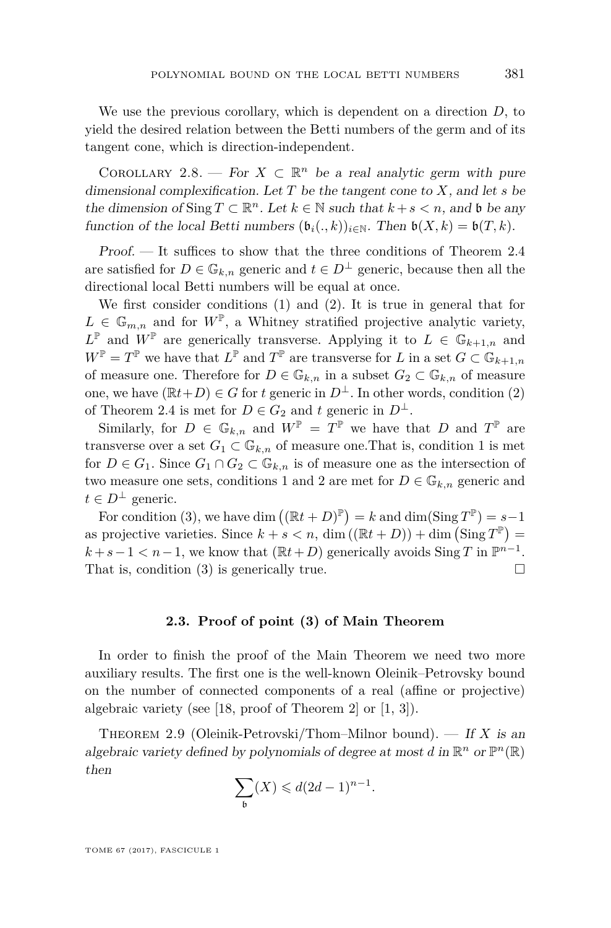We use the previous corollary, which is dependent on a direction *D*, to yield the desired relation between the Betti numbers of the germ and of its tangent cone, which is direction-independent.

<span id="page-15-1"></span>COROLLARY 2.8. — For  $X \subset \mathbb{R}^n$  be a real analytic germ with pure dimensional complexification. Let *T* be the tangent cone to *X*, and let *s* be the dimension of Sing  $T \subset \mathbb{R}^n$ . Let  $k \in \mathbb{N}$  such that  $k + s < n$ , and b be any function of the local Betti numbers  $(\mathfrak{b}_i(.,k))_{i\in\mathbb{N}}$ . Then  $\mathfrak{b}(X,k) = \mathfrak{b}(T,k)$ .

 $Proof.$  — It suffices to show that the three conditions of Theorem [2.4](#page-11-0) are satisfied for  $D \in \mathbb{G}_{k,n}$  generic and  $t \in D^{\perp}$  generic, because then all the directional local Betti numbers will be equal at once.

We first consider conditions [\(1\)](#page-11-1) and [\(2\)](#page-11-2). It is true in general that for  $L \in \mathbb{G}_{m,n}$  and for  $W^{\mathbb{P}}$ , a Whitney stratified projective analytic variety,  $L^{\mathbb{P}}$  and  $W^{\mathbb{P}}$  are generically transverse. Applying it to  $L \in \mathbb{G}_{k+1,n}$  and  $W^{\mathbb{P}} = T^{\mathbb{P}}$  we have that  $L^{\mathbb{P}}$  and  $T^{\mathbb{P}}$  are transverse for *L* in a set  $G \subset \mathbb{G}_{k+1,n}$ of measure one. Therefore for  $D \in \mathbb{G}_{k,n}$  in a subset  $G_2 \subset \mathbb{G}_{k,n}$  of measure one, we have  $(\mathbb{R}t+D) \in G$  for *t* generic in  $D^{\perp}$ . In other words, condition [\(2\)](#page-11-2) of Theorem [2.4](#page-11-0) is met for  $D \in G_2$  and *t* generic in  $D^{\perp}$ .

Similarly, for  $D \in \mathbb{G}_{k,n}$  and  $W^{\mathbb{P}} = T^{\mathbb{P}}$  we have that *D* and  $T^{\mathbb{P}}$  are transverse over a set  $G_1 \subset \mathbb{G}_{k,n}$  of measure one. That is, condition 1 is met for  $D \in G_1$ . Since  $G_1 \cap G_2 \subset \mathbb{G}_{k,n}$  is of measure one as the intersection of two measure one sets, conditions 1 and 2 are met for  $D \in \mathbb{G}_{k,n}$  generic and  $t \in D^{\perp}$  generic.

For condition [\(3\)](#page-11-3), we have dim  $((\mathbb{R}t + D)^{\mathbb{P}}) = k$  and  $\dim(\text{Sing } T^{\mathbb{P}}) = s-1$ as projective varieties. Since  $k + s < n$ , dim  $((\mathbb{R}t + D)) + \dim (\operatorname{Sing} T^{\mathbb{P}}) =$  $k+s-1 < n-1$ , we know that  $(\mathbb{R}t+D)$  generically avoids Sing *T* in  $\mathbb{P}^{n-1}$ . That is, condition [\(3\)](#page-11-3) is generically true.  $\Box$ 

#### **2.3. Proof of point (3) of Main Theorem**

In order to finish the proof of the Main Theorem we need two more auxiliary results. The first one is the well-known Oleinik–Petrovsky bound on the number of connected components of a real (affine or projective) algebraic variety (see [\[18,](#page-30-5) proof of Theorem 2] or [\[1,](#page-29-14) [3\]](#page-29-15)).

<span id="page-15-0"></span>THEOREM 2.9 (Oleinik-Petrovski/Thom–Milnor bound). — If X is an algebraic variety defined by polynomials of degree at most *d* in  $\mathbb{R}^n$  or  $\mathbb{P}^n(\mathbb{R})$ then

$$
\sum_{\mathfrak{b}}(X)\leqslant d(2d-1)^{n-1}.
$$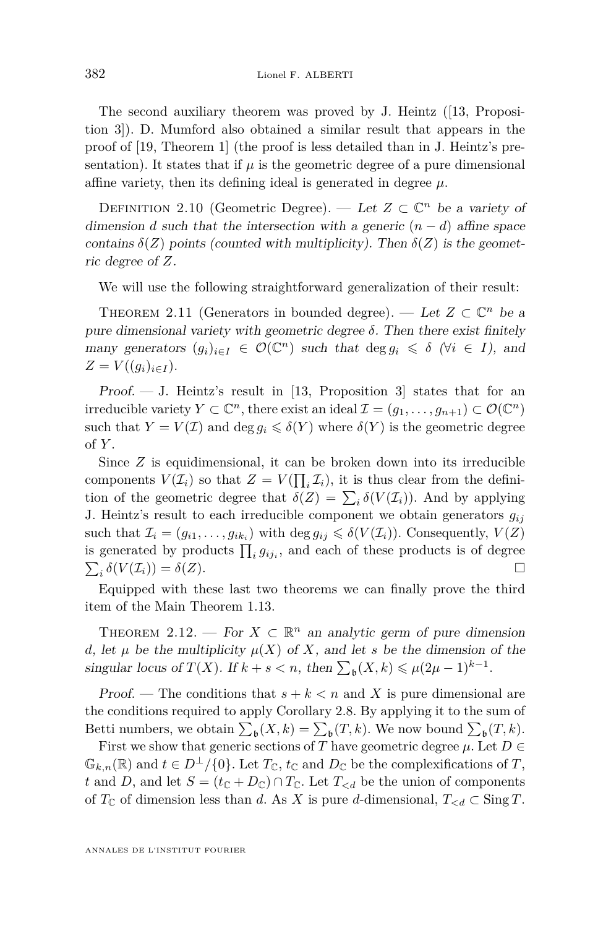The second auxiliary theorem was proved by J. Heintz ([\[13,](#page-29-4) Proposition 3]). D. Mumford also obtained a similar result that appears in the proof of [\[19,](#page-30-0) Theorem 1] (the proof is less detailed than in J. Heintz's presentation). It states that if  $\mu$  is the geometric degree of a pure dimensional affine variety, then its defining ideal is generated in degree  $\mu$ .

DEFINITION 2.10 (Geometric Degree). — Let  $Z \subset \mathbb{C}^n$  be a variety of dimension *d* such that the intersection with a generic  $(n - d)$  affine space contains  $\delta(Z)$  points (counted with multiplicity). Then  $\delta(Z)$  is the geometric degree of *Z*.

We will use the following straightforward generalization of their result:

<span id="page-16-0"></span>THEOREM 2.11 (Generators in bounded degree). — Let  $Z \subset \mathbb{C}^n$  be a pure dimensional variety with geometric degree  $\delta$ . Then there exist finitely many generators  $(g_i)_{i \in I} \in \mathcal{O}(\mathbb{C}^n)$  such that  $\deg g_i \leq \delta$  ( $\forall i \in I$ ), and  $Z = V((g_i)_{i \in I}).$ 

Proof.  $-$  J. Heintz's result in [\[13,](#page-29-4) Proposition 3] states that for an irreducible variety  $Y \subset \mathbb{C}^n$ , there exist an ideal  $\mathcal{I} = (g_1, \ldots, g_{n+1}) \subset \mathcal{O}(\mathbb{C}^n)$ such that  $Y = V(\mathcal{I})$  and deg  $g_i \leq \delta(Y)$  where  $\delta(Y)$  is the geometric degree of *Y* .

Since *Z* is equidimensional, it can be broken down into its irreducible components  $V(\mathcal{I}_i)$  so that  $Z = V(\prod_i \mathcal{I}_i)$ , it is thus clear from the definition of the geometric degree that  $\delta(Z) = \sum_i \delta(V(\mathcal{I}_i))$ . And by applying J. Heintz's result to each irreducible component we obtain generators *gij* such that  $\mathcal{I}_i = (g_{i1}, \ldots, g_{ik_i})$  with  $\deg g_{ij} \leq \delta(V(\mathcal{I}_i))$ . Consequently,  $V(Z)$ is generated by products  $\prod_i g_{ij_i}$ , and each of these products is of degree  $\sum_i \delta(V(\mathcal{I}_i)) = \delta(Z).$ 

Equipped with these last two theorems we can finally prove the third item of the Main Theorem [1.13.](#page-6-0)

<span id="page-16-1"></span>THEOREM 2.12. — For  $X \subset \mathbb{R}^n$  an analytic germ of pure dimension *d*, let  $\mu$  be the multiplicity  $\mu(X)$  of X, and let *s* be the dimension of the singular locus of  $T(X)$ . If  $k + s < n$ , then  $\sum_{\mathfrak{b}} (X, k) \leq \mu (2\mu - 1)^{k-1}$ .

Proof. — The conditions that  $s + k < n$  and X is pure dimensional are the conditions required to apply Corollary [2.8.](#page-15-1) By applying it to the sum of Betti numbers, we obtain  $\sum_{\mathfrak{b}}(X,k) = \sum_{\mathfrak{b}}(T,k)$ . We now bound  $\sum_{\mathfrak{b}}(T,k)$ .

First we show that generic sections of *T* have geometric degree  $\mu$ . Let  $D \in$  $\mathbb{G}_{k,n}(\mathbb{R})$  and  $t \in D^{\perp}/\{0\}$ . Let  $T_{\mathbb{C}}$ ,  $t_{\mathbb{C}}$  and  $D_{\mathbb{C}}$  be the complexifications of  $T$ , *t* and *D*, and let  $S = (t_{\mathbb{C}} + D_{\mathbb{C}}) \cap T_{\mathbb{C}}$ . Let  $T_{\le d}$  be the union of components of  $T_{\mathbb{C}}$  of dimension less than *d*. As *X* is pure *d*-dimensional,  $T_{\leq d} \subset \text{Sing } T$ .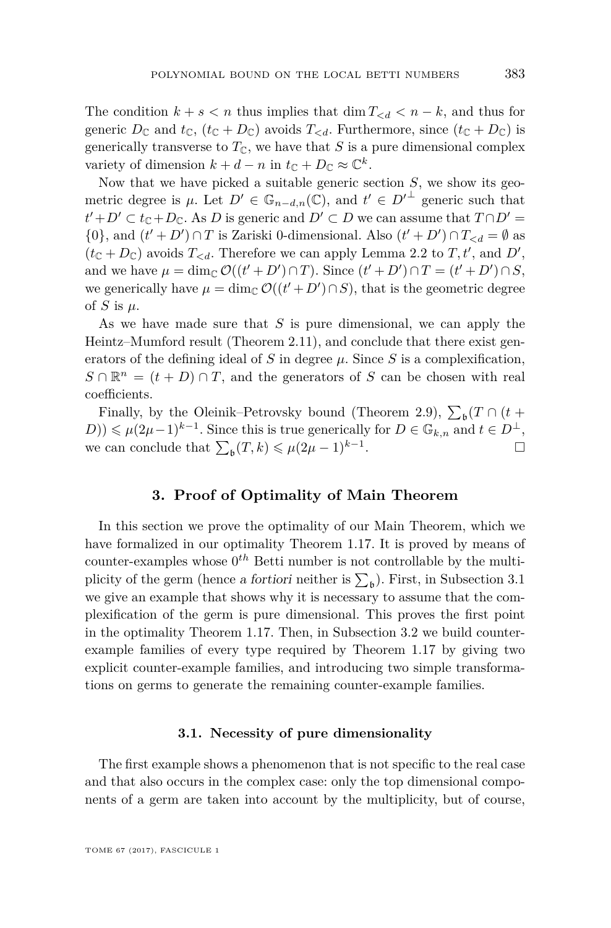The condition  $k + s < n$  thus implies that  $\dim T_{\leq d} < n - k$ , and thus for generic  $D_{\mathbb{C}}$  and  $t_{\mathbb{C}}$ ,  $(t_{\mathbb{C}} + D_{\mathbb{C}})$  avoids  $T_{\leq d}$ . Furthermore, since  $(t_{\mathbb{C}} + D_{\mathbb{C}})$  is generically transverse to  $T_{\mathbb{C}}$ , we have that *S* is a pure dimensional complex variety of dimension  $k + d - n$  in  $t_{\mathbb{C}} + D_{\mathbb{C}} \approx \mathbb{C}^k$ .

Now that we have picked a suitable generic section *S*, we show its geometric degree is  $\mu$ . Let  $D' \in \mathbb{G}_{n-d,n}(\mathbb{C})$ , and  $t' \in D'^{\perp}$  generic such that  $t' + D' \subset t_{\mathbb{C}} + D_{\mathbb{C}}$ . As *D* is generic and  $D' \subset D$  we can assume that  $T \cap D' =$ {0}, and  $(t' + D') \cap T$  is Zariski 0-dimensional. Also  $(t' + D') \cap T_{< d} = \emptyset$  as  $(t_{\mathbb{C}}+D_{\mathbb{C}})$  avoids  $T_{\le d}$ . Therefore we can apply Lemma [2.2](#page-9-0) to  $T, t'$ , and  $D'$ , and we have  $\mu = \dim_{\mathbb{C}} \mathcal{O}((t' + D') \cap T)$ . Since  $(t' + D') \cap T = (t' + D') \cap S$ , we generically have  $\mu = \dim_{\mathbb{C}} \mathcal{O}((t' + D') \cap S)$ , that is the geometric degree of *S* is  $\mu$ .

As we have made sure that *S* is pure dimensional, we can apply the Heintz–Mumford result (Theorem [2.11\)](#page-16-0), and conclude that there exist generators of the defining ideal of *S* in degree  $\mu$ . Since *S* is a complexification,  $S \cap \mathbb{R}^n = (t + D) \cap T$ , and the generators of *S* can be chosen with real coefficients.

Finally, by the Oleinik–Petrovsky bound (Theorem [2.9\)](#page-15-0),  $\sum_{\mathfrak{b}}(T \cap (t +$  $(D)$ )  $\leq \mu(2\mu-1)^{k-1}$ . Since this is true generically for  $D \in \mathbb{G}_{k,n}$  and  $t \in D^{\perp}$ , we can conclude that  $\sum_{\mathfrak{b}} (T, k) \leq \mu (2\mu - 1)^{k-1}$ . — Первый процесс в постановки программа в серверном становки производительно становки производите с производ<br>В серверном становки производительно становки производительно становки производительно становки производительн

#### **3. Proof of Optimality of Main Theorem**

<span id="page-17-0"></span>In this section we prove the optimality of our Main Theorem, which we have formalized in our optimality Theorem [1.17.](#page-8-1) It is proved by means of  $\text{counter-examples whose } 0^{th}$  Betti number is not controllable by the multiplicity of the germ (hence a fortiori neither is  $\sum_{\mathfrak{b}}$ ). First, in Subsection [3.1](#page-17-1) we give an example that shows why it is necessary to assume that the complexification of the germ is pure dimensional. This proves the first point in the optimality Theorem [1.17.](#page-8-1) Then, in Subsection [3.2](#page-18-0) we build counterexample families of every type required by Theorem [1.17](#page-8-1) by giving two explicit counter-example families, and introducing two simple transformations on germs to generate the remaining counter-example families.

#### **3.1. Necessity of pure dimensionality**

<span id="page-17-1"></span>The first example shows a phenomenon that is not specific to the real case and that also occurs in the complex case: only the top dimensional components of a germ are taken into account by the multiplicity, but of course,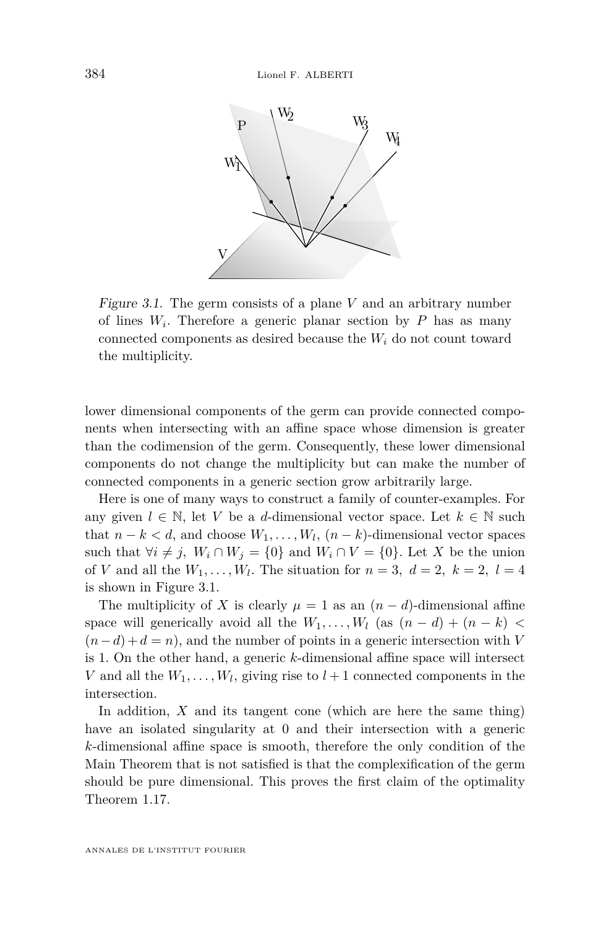<span id="page-18-1"></span>

Figure 3.1. The germ consists of a plane *V* and an arbitrary number of lines  $W_i$ . Therefore a generic planar section by  $P$  has as many connected components as desired because the  $W_i$  do not count toward the multiplicity.

lower dimensional components of the germ can provide connected components when intersecting with an affine space whose dimension is greater than the codimension of the germ. Consequently, these lower dimensional components do not change the multiplicity but can make the number of connected components in a generic section grow arbitrarily large.

Here is one of many ways to construct a family of counter-examples. For any given  $l \in \mathbb{N}$ , let *V* be a *d*-dimensional vector space. Let  $k \in \mathbb{N}$  such that  $n - k < d$ , and choose  $W_1, \ldots, W_l$ ,  $(n - k)$ -dimensional vector spaces such that  $\forall i \neq j$ ,  $W_i \cap W_j = \{0\}$  and  $W_i \cap V = \{0\}$ . Let X be the union of *V* and all the  $W_1, \ldots, W_l$ . The situation for  $n = 3$ ,  $d = 2$ ,  $k = 2$ ,  $l = 4$ is shown in Figure [3.1.](#page-18-1)

The multiplicity of *X* is clearly  $\mu = 1$  as an  $(n - d)$ -dimensional affine space will generically avoid all the  $W_1, \ldots, W_l$  (as  $(n-d) + (n-k)$ )  $(n-d) + d = n$ , and the number of points in a generic intersection with *V* is 1. On the other hand, a generic *k*-dimensional affine space will intersect *V* and all the  $W_1, \ldots, W_l$ , giving rise to  $l+1$  connected components in the intersection.

<span id="page-18-0"></span>In addition, *X* and its tangent cone (which are here the same thing) have an isolated singularity at 0 and their intersection with a generic *k*-dimensional affine space is smooth, therefore the only condition of the Main Theorem that is not satisfied is that the complexification of the germ should be pure dimensional. This proves the first claim of the optimality Theorem [1.17.](#page-8-1)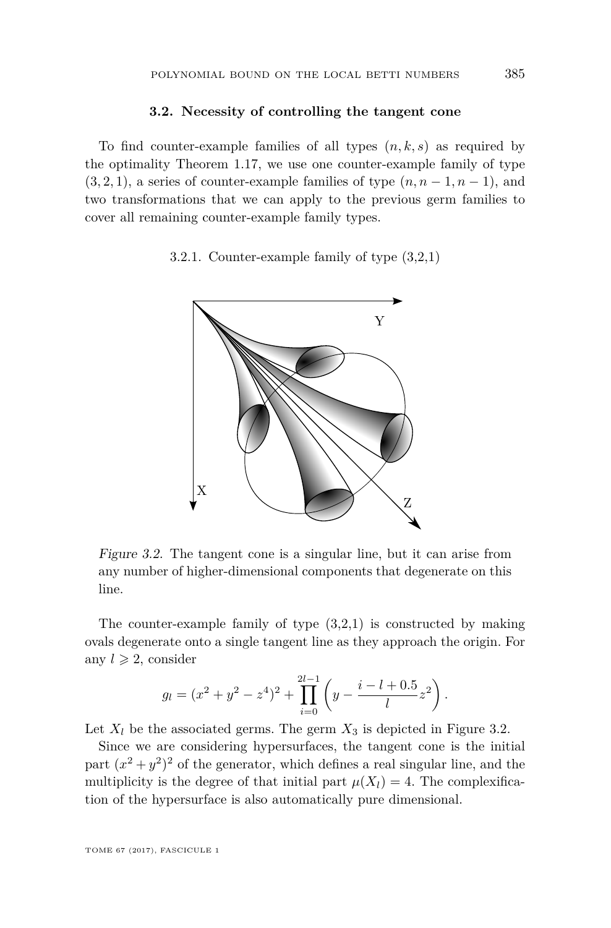#### **3.2. Necessity of controlling the tangent cone**

To find counter-example families of all types (*n, k, s*) as required by the optimality Theorem [1.17,](#page-8-1) we use one counter-example family of type  $(3, 2, 1)$ , a series of counter-example families of type  $(n, n-1, n-1)$ , and two transformations that we can apply to the previous germ families to cover all remaining counter-example family types.

<span id="page-19-1"></span><span id="page-19-0"></span>3.2.1. Counter-example family of type (3,2,1)



Figure 3.2. The tangent cone is a singular line, but it can arise from any number of higher-dimensional components that degenerate on this line.

The counter-example family of type  $(3,2,1)$  is constructed by making ovals degenerate onto a single tangent line as they approach the origin. For any  $l \geqslant 2$ , consider

$$
g_l = (x^2 + y^2 - z^4)^2 + \prod_{i=0}^{2l-1} \left( y - \frac{i - l + 0.5}{l} z^2 \right).
$$

Let  $X_l$  be the associated germs. The germ  $X_3$  is depicted in Figure [3.2.](#page-19-0)

Since we are considering hypersurfaces, the tangent cone is the initial part  $(x^2 + y^2)^2$  of the generator, which defines a real singular line, and the multiplicity is the degree of that initial part  $\mu(X_l) = 4$ . The complexification of the hypersurface is also automatically pure dimensional.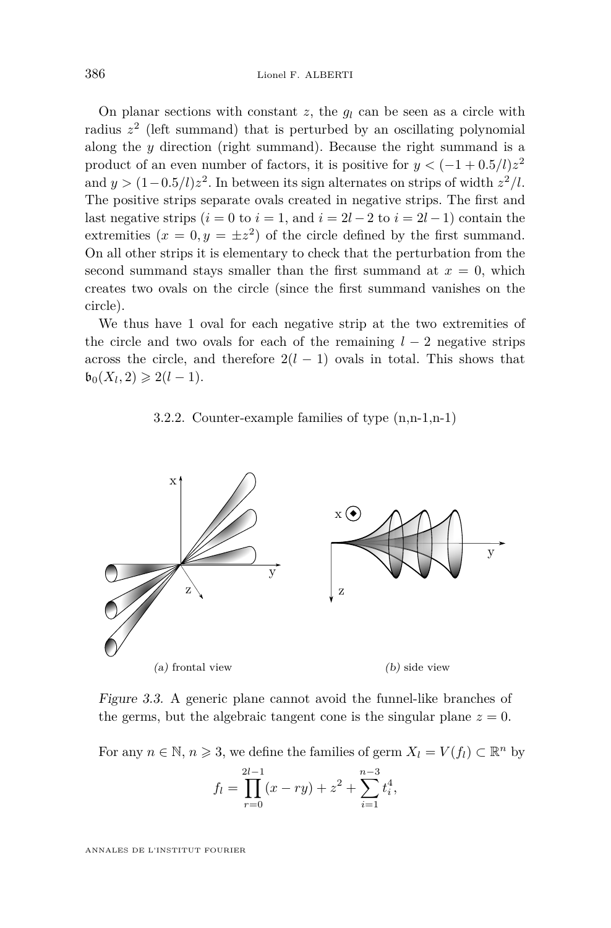On planar sections with constant *z*, the *g<sup>l</sup>* can be seen as a circle with radius *z* 2 (left summand) that is perturbed by an oscillating polynomial along the *y* direction (right summand). Because the right summand is a product of an even number of factors, it is positive for  $y < (-1 + 0.5/l)z^2$ and  $y > (1 - 0.5/l)z<sup>2</sup>$ . In between its sign alternates on strips of width  $z<sup>2</sup>/l$ . The positive strips separate ovals created in negative strips. The first and last negative strips  $(i = 0 \text{ to } i = 1, \text{ and } i = 2l - 2 \text{ to } i = 2l - 1)$  contain the extremities  $(x = 0, y = \pm z^2)$  of the circle defined by the first summand. On all other strips it is elementary to check that the perturbation from the second summand stays smaller than the first summand at  $x = 0$ , which creates two ovals on the circle (since the first summand vanishes on the circle).

We thus have 1 oval for each negative strip at the two extremities of the circle and two ovals for each of the remaining  $l - 2$  negative strips across the circle, and therefore  $2(l - 1)$  ovals in total. This shows that  $\mathfrak{b}_0(X_l, 2) \geq 2(l-1).$ 

#### 3.2.2. Counter-example families of type (n,n-1,n-1)

<span id="page-20-1"></span><span id="page-20-0"></span>

Figure 3.3. A generic plane cannot avoid the funnel-like branches of the germs, but the algebraic tangent cone is the singular plane  $z = 0$ .

For any  $n \in \mathbb{N}$ ,  $n \ge 3$ , we define the families of germ  $X_l = V(f_l) \subset \mathbb{R}^n$  by

$$
f_l = \prod_{r=0}^{2l-1} (x - ry) + z^2 + \sum_{i=1}^{n-3} t_i^4,
$$

ANNALES DE L'INSTITUT FOURIER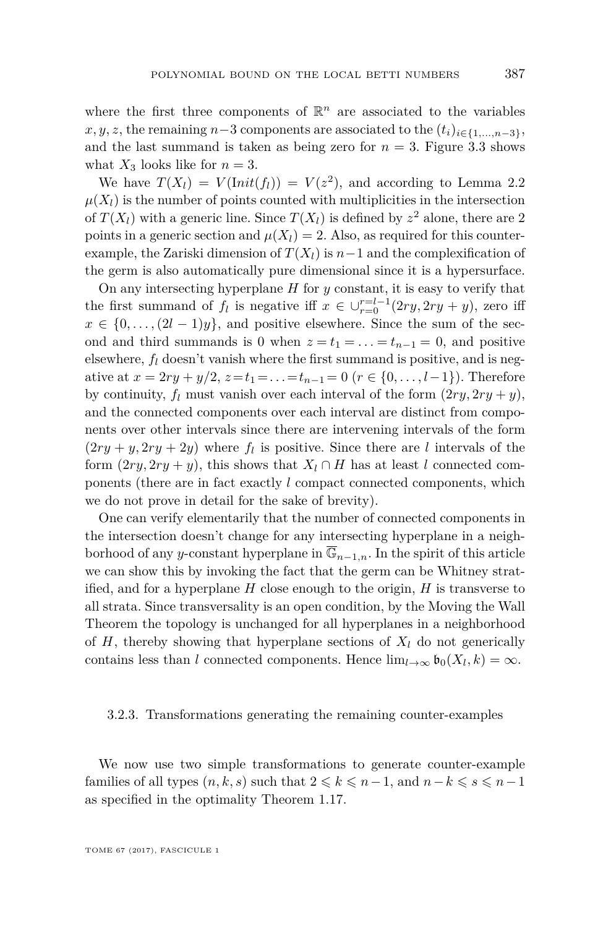where the first three components of  $\mathbb{R}^n$  are associated to the variables  $x, y, z$ , the remaining  $n-3$  components are associated to the  $(t_i)_{i\in\{1,\ldots,n-3\}}$ , and the last summand is taken as being zero for  $n = 3$ . Figure [3.3](#page-20-0) shows what  $X_3$  looks like for  $n = 3$ .

We have  $T(X_l) = V(\text{Init}(f_l)) = V(z^2)$ , and according to Lemma [2.2](#page-9-0)  $\mu(X_l)$  is the number of points counted with multiplicities in the intersection of  $T(X_l)$  with a generic line. Since  $T(X_l)$  is defined by  $z^2$  alone, there are 2 points in a generic section and  $\mu(X_l) = 2$ . Also, as required for this counterexample, the Zariski dimension of  $T(X_l)$  is  $n-1$  and the complexification of the germ is also automatically pure dimensional since it is a hypersurface.

On any intersecting hyperplane *H* for *y* constant, it is easy to verify that the first summand of  $f_l$  is negative iff  $x \in \bigcup_{r=0}^{r=l-1} (2ry, 2ry + y)$ , zero iff  $x \in \{0, \ldots, (2l-1)y\}$ , and positive elsewhere. Since the sum of the second and third summands is 0 when  $z = t_1 = \ldots = t_{n-1} = 0$ , and positive elsewhere,  $f_l$  doesn't vanish where the first summand is positive, and is negative at  $x = 2ry + y/2$ ,  $z = t_1 = \ldots = t_{n-1} = 0$  ( $r \in \{0, \ldots, l-1\}$ ). Therefore by continuity,  $f_l$  must vanish over each interval of the form  $(2ry, 2ry + y)$ , and the connected components over each interval are distinct from components over other intervals since there are intervening intervals of the form  $(2ry + y, 2ry + 2y)$  where  $f_l$  is positive. Since there are *l* intervals of the form  $(2ry, 2ry + y)$ , this shows that  $X_l \cap H$  has at least *l* connected components (there are in fact exactly *l* compact connected components, which we do not prove in detail for the sake of brevity).

One can verify elementarily that the number of connected components in the intersection doesn't change for any intersecting hyperplane in a neighborhood of any *y*-constant hyperplane in  $\overline{\mathbb{G}}_{n-1,n}$ . In the spirit of this article we can show this by invoking the fact that the germ can be Whitney stratified, and for a hyperplane *H* close enough to the origin, *H* is transverse to all strata. Since transversality is an open condition, by the Moving the Wall Theorem the topology is unchanged for all hyperplanes in a neighborhood of  $H$ , thereby showing that hyperplane sections of  $X_l$  do not generically contains less than *l* connected components. Hence  $\lim_{l\to\infty} \mathfrak{b}_0(X_l,k) = \infty$ .

#### 3.2.3. Transformations generating the remaining counter-examples

We now use two simple transformations to generate counter-example families of all types  $(n, k, s)$  such that  $2 \leq k \leq n-1$ , and  $n-k \leq s \leq n-1$ as specified in the optimality Theorem [1.17.](#page-8-1)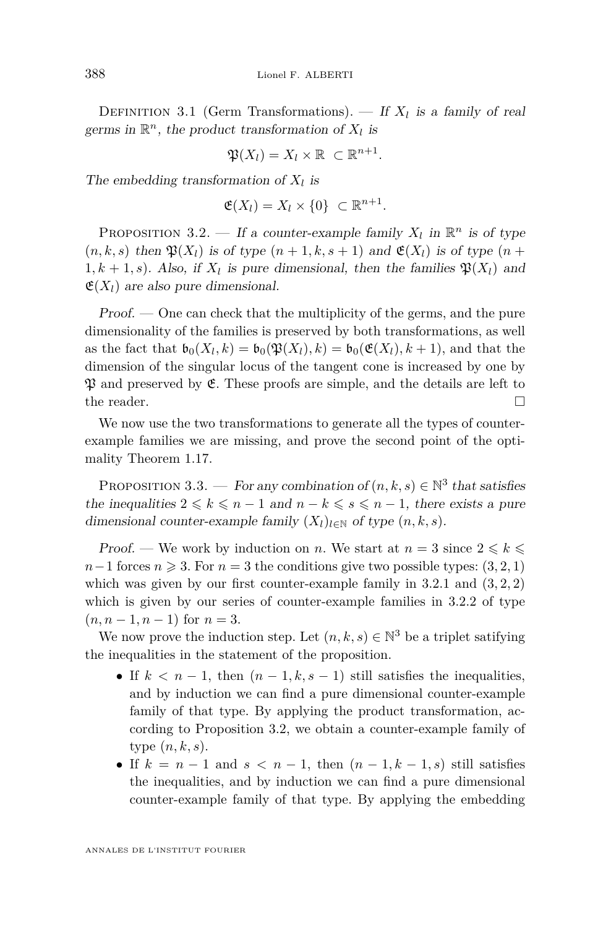DEFINITION 3.1 (Germ Transformations). — If  $X_l$  is a family of real germs in  $\mathbb{R}^n$ , the product transformation of  $X_l$  is

$$
\mathfrak{P}(X_l)=X_l\times\mathbb{R}\ \subset\mathbb{R}^{n+1}.
$$

The embedding transformation of  $X_l$  is

$$
\mathfrak{E}(X_l) = X_l \times \{0\} \subset \mathbb{R}^{n+1}.
$$

<span id="page-22-0"></span>PROPOSITION 3.2. — If a counter-example family  $X_l$  in  $\mathbb{R}^n$  is of type  $(n, k, s)$  then  $\mathfrak{P}(X_l)$  is of type  $(n + 1, k, s + 1)$  and  $\mathfrak{E}(X_l)$  is of type  $(n + 1, k, s + 1)$  $1, k + 1, s$ . Also, if  $X_l$  is pure dimensional, then the families  $\mathfrak{P}(X_l)$  and  $\mathfrak{E}(X_l)$  are also pure dimensional.

Proof. — One can check that the multiplicity of the germs, and the pure dimensionality of the families is preserved by both transformations, as well as the fact that  $\mathfrak{b}_0(X_l, k) = \mathfrak{b}_0(\mathfrak{P}(X_l), k) = \mathfrak{b}_0(\mathfrak{E}(X_l), k+1)$ , and that the dimension of the singular locus of the tangent cone is increased by one by  $\mathfrak P$  and preserved by  $\mathfrak E$ . These proofs are simple, and the details are left to the reader.  $\Box$ 

We now use the two transformations to generate all the types of counterexample families we are missing, and prove the second point of the optimality Theorem [1.17.](#page-8-1)

PROPOSITION 3.3. — For any combination of  $(n, k, s) \in \mathbb{N}^3$  that satisfies the inequalities  $2 \leq k \leq n-1$  and  $n-k \leq s \leq n-1$ , there exists a pure dimensional counter-example family  $(X_l)_{l \in \mathbb{N}}$  of type  $(n, k, s)$ .

Proof. — We work by induction on *n*. We start at  $n = 3$  since  $2 \leq k \leq$  $n-1$  forces  $n \geq 3$ . For  $n=3$  the conditions give two possible types: (3, 2*,* 1) which was given by our first counter-example family in  $3.2.1$  and  $(3, 2, 2)$ which is given by our series of counter-example families in [3.2.2](#page-20-1) of type  $(n, n-1, n-1)$  for  $n = 3$ .

We now prove the induction step. Let  $(n, k, s) \in \mathbb{N}^3$  be a triplet satifying the inequalities in the statement of the proposition.

- If  $k < n-1$ , then  $(n-1, k, s-1)$  still satisfies the inequalities, and by induction we can find a pure dimensional counter-example family of that type. By applying the product transformation, according to Proposition [3.2,](#page-22-0) we obtain a counter-example family of type (*n, k, s*).
- If  $k = n 1$  and  $s < n 1$ , then  $(n 1, k 1, s)$  still satisfies the inequalities, and by induction we can find a pure dimensional counter-example family of that type. By applying the embedding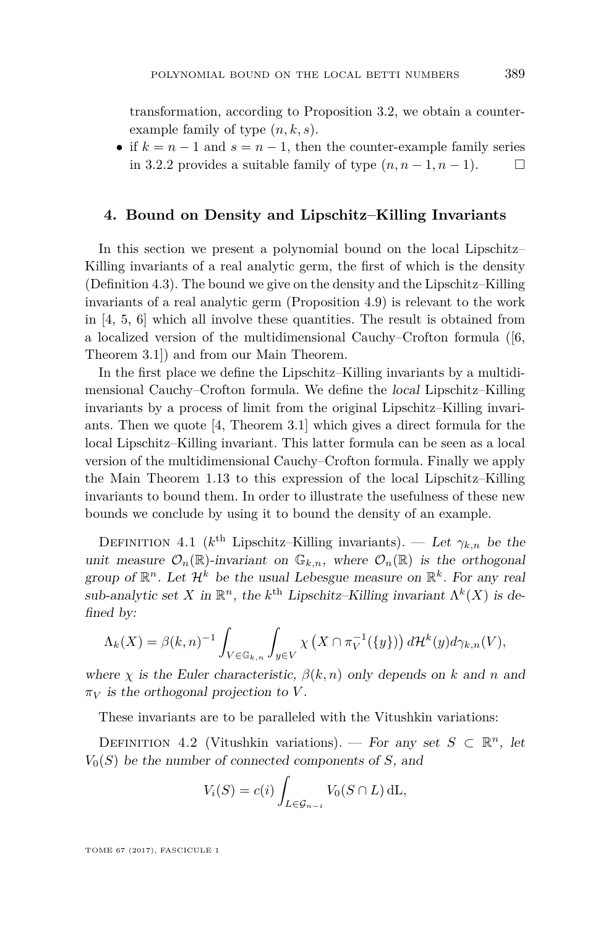transformation, according to Proposition [3.2,](#page-22-0) we obtain a counterexample family of type (*n, k, s*).

• if  $k = n - 1$  and  $s = n - 1$ , then the counter-example family series in [3.2.2](#page-20-1) provides a suitable family of type  $(n, n-1, n-1)$ . □

#### <span id="page-23-0"></span>**4. Bound on Density and Lipschitz–Killing Invariants**

In this section we present a polynomial bound on the local Lipschitz– Killing invariants of a real analytic germ, the first of which is the density (Definition [4.3\)](#page-24-0). The bound we give on the density and the Lipschitz–Killing invariants of a real analytic germ (Proposition [4.9\)](#page-27-0) is relevant to the work in [\[4,](#page-29-5) [5,](#page-29-9) [6\]](#page-29-6) which all involve these quantities. The result is obtained from a localized version of the multidimensional Cauchy–Crofton formula ([\[6,](#page-29-6) Theorem 3.1]) and from our Main Theorem.

In the first place we define the Lipschitz–Killing invariants by a multidimensional Cauchy–Crofton formula. We define the local Lipschitz–Killing invariants by a process of limit from the original Lipschitz–Killing invariants. Then we quote [\[4,](#page-29-5) Theorem 3.1] which gives a direct formula for the local Lipschitz–Killing invariant. This latter formula can be seen as a local version of the multidimensional Cauchy–Crofton formula. Finally we apply the Main Theorem [1.13](#page-6-0) to this expression of the local Lipschitz–Killing invariants to bound them. In order to illustrate the usefulness of these new bounds we conclude by using it to bound the density of an example.

<span id="page-23-1"></span>DEFINITION 4.1 ( $k^{\text{th}}$  Lipschitz–Killing invariants). — Let  $\gamma_{k,n}$  be the unit measure  $\mathcal{O}_n(\mathbb{R})$ -invariant on  $\mathbb{G}_{k,n}$ , where  $\mathcal{O}_n(\mathbb{R})$  is the orthogonal group of  $\mathbb{R}^n$ . Let  $\mathcal{H}^k$  be the usual Lebesgue measure on  $\mathbb{R}^k$ . For any real sub-analytic set *X* in  $\mathbb{R}^n$ , the *k*<sup>th</sup> Lipschitz–Killing invariant  $\Lambda^k(X)$  is defined by:

$$
\Lambda_k(X) = \beta(k,n)^{-1} \int_{V \in \mathbb{G}_{k,n}} \int_{y \in V} \chi\left(X \cap \pi_V^{-1}(\{y\})\right) d\mathcal{H}^k(y) d\gamma_{k,n}(V),
$$

where *χ* is the Euler characteristic,  $\beta(k,n)$  only depends on *k* and *n* and  $\pi_V$  *is the orthogonal projection to V*.

These invariants are to be paralleled with the Vitushkin variations:

<span id="page-23-2"></span>DEFINITION 4.2 (Vitushkin variations). — For any set  $S \subset \mathbb{R}^n$ , let  $V_0(S)$  be the number of connected components of *S*, and

$$
V_i(S) = c(i) \int_{L \in \mathcal{G}_{n-i}} V_0(S \cap L) dL,
$$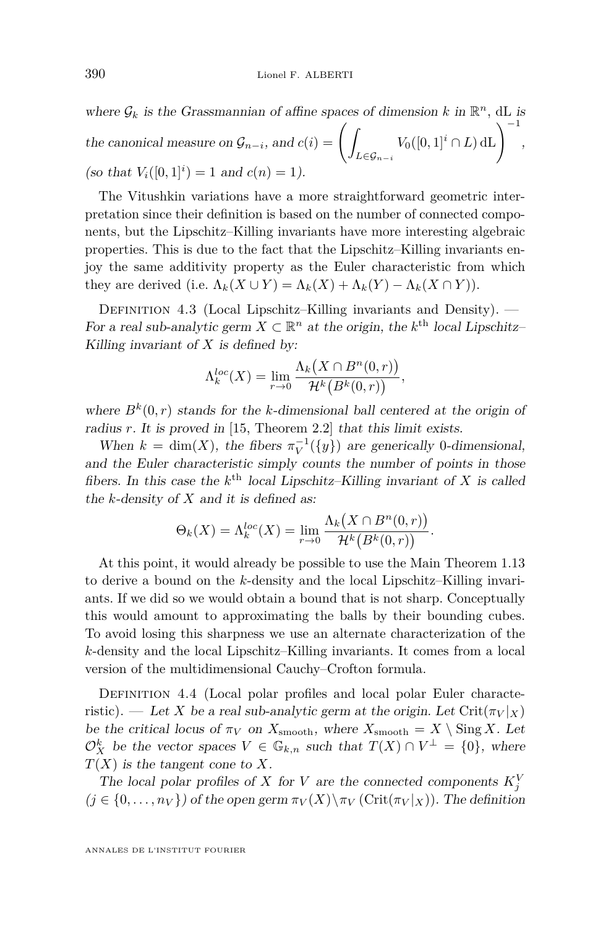where  $\mathcal{G}_k$  is the Grassmannian of affine spaces of dimension  $k$  in  $\mathbb{R}^n$ , dL is the canonical measure on  $\mathcal{G}_{n-i}$ , and  $c(i) = \begin{pmatrix} 1 \\ 1 \end{pmatrix}$ *L*∈G*n*−*<sup>i</sup>*  $V_0([0,1]^i \cap L) \, \mathrm{dL}$  $\bigg)^{-1}$ , (so that  $V_i([0,1]^i) = 1$  and  $c(n) = 1$ ).

The Vitushkin variations have a more straightforward geometric interpretation since their definition is based on the number of connected components, but the Lipschitz–Killing invariants have more interesting algebraic properties. This is due to the fact that the Lipschitz–Killing invariants enjoy the same additivity property as the Euler characteristic from which they are derived (i.e.  $\Lambda_k(X \cup Y) = \Lambda_k(X) + \Lambda_k(Y) - \Lambda_k(X \cap Y)$ ).

<span id="page-24-0"></span>DEFINITION 4.3 (Local Lipschitz–Killing invariants and Density). — For a real sub-analytic germ  $X \subset \mathbb{R}^n$  at the origin, the  $k^{\text{th}}$  local Lipschitz– Killing invariant of *X* is defined by:

$$
\Lambda_k^{loc}(X) = \lim_{r \to 0} \frac{\Lambda_k(X \cap B^n(0,r))}{\mathcal{H}^k(B^k(0,r))},
$$

where  $B^k(0,r)$  stands for the *k*-dimensional ball centered at the origin of radius *r*. It is proved in [\[15,](#page-29-16) Theorem 2.2] that this limit exists.

When  $k = \dim(X)$ , the fibers  $\pi_V^{-1}(\{y\})$  are generically 0-dimensional, and the Euler characteristic simply counts the number of points in those fibers. In this case the  $k^{\text{th}}$  local Lipschitz–Killing invariant of *X* is called the *k*-density of *X* and it is defined as:

$$
\Theta_k(X) = \Lambda_k^{loc}(X) = \lim_{r \to 0} \frac{\Lambda_k(X \cap B^n(0,r))}{\mathcal{H}^k(B^k(0,r))}.
$$

At this point, it would already be possible to use the Main Theorem [1.13](#page-6-0) to derive a bound on the *k*-density and the local Lipschitz–Killing invariants. If we did so we would obtain a bound that is not sharp. Conceptually this would amount to approximating the balls by their bounding cubes. To avoid losing this sharpness we use an alternate characterization of the *k*-density and the local Lipschitz–Killing invariants. It comes from a local version of the multidimensional Cauchy–Crofton formula.

DEFINITION 4.4 (Local polar profiles and local polar Euler characteristic). — Let *X* be a real sub-analytic germ at the origin. Let  $\operatorname{Crit}(\pi_V|_X)$ be the critical locus of  $\pi_V$  on  $X_{\text{smooth}}$ , where  $X_{\text{smooth}} = X \setminus \text{Sing } X$ . Let  $\mathcal{O}_X^k$  be the vector spaces  $V \in \mathbb{G}_{k,n}$  such that  $T(X) \cap V^{\perp} = \{0\}$ , where *T*(*X*) is the tangent cone to *X*.

The local polar profiles of *X* for *V* are the connected components  $K_j^V$  $(j \in \{0, \ldots, n_V\})$  of the open germ  $\pi_V(X) \setminus \pi_V(\mathrm{Crit}(\pi_V|_X))$ . The definition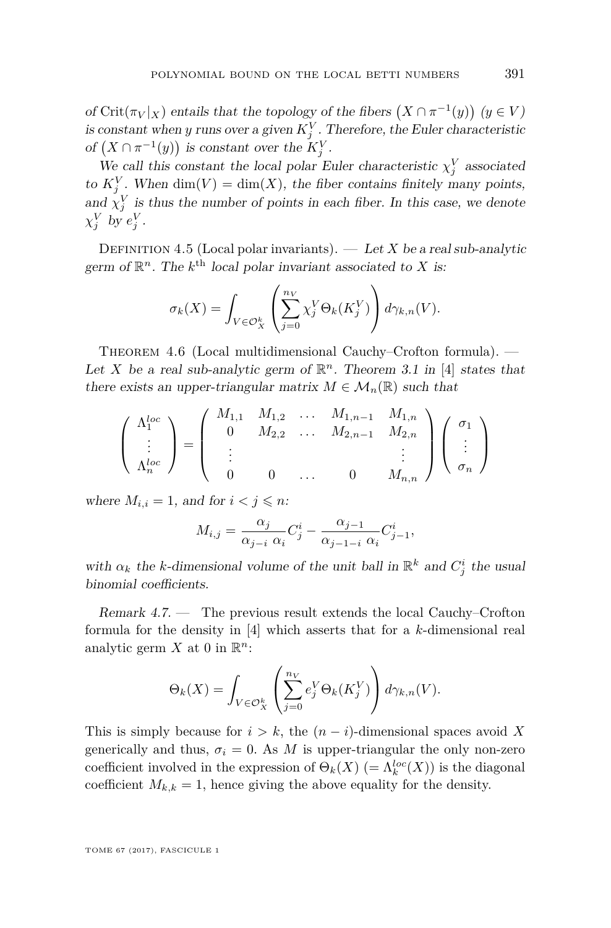of Crit( $\pi_V|_X$ ) entails that the topology of the fibers  $(X \cap \pi^{-1}(y))$   $(y \in V)$ is constant when *y* runs over a given  $K_j^V$ . Therefore, the Euler characteristic of  $(X \cap \pi^{-1}(y))$  is constant over the  $K_j^V$ .

We call this constant the local polar Euler characteristic  $\chi_j^V$  associated to  $K_j^V$ . When  $\dim(V) = \dim(X)$ , the fiber contains finitely many points, and  $\chi_j^V$  is thus the number of points in each fiber. In this case, we denote  $\chi_j^V$  by  $e_j^V$ .

DEFINITION 4.5 (Local polar invariants).  $-$  Let *X* be a real sub-analytic germ of  $\mathbb{R}^n$ . The  $k^{\text{th}}$  local polar invariant associated to *X* is:

$$
\sigma_k(X) = \int_{V \in \mathcal{O}_X^k} \left( \sum_{j=0}^{n_V} \chi_j^V \Theta_k(K_j^V) \right) d\gamma_{k,n}(V).
$$

<span id="page-25-0"></span>THEOREM 4.6 (Local multidimensional Cauchy–Crofton formula). — Let *X* be a real sub-analytic germ of  $\mathbb{R}^n$ . Theorem 3.1 in [\[4\]](#page-29-5) states that there exists an upper-triangular matrix  $M \in \mathcal{M}_n(\mathbb{R})$  such that

$$
\left(\begin{array}{c} \Lambda_1^{loc} \\ \vdots \\ \Lambda_n^{loc} \end{array}\right) = \left(\begin{array}{cccc} M_{1,1} & M_{1,2} & \dots & M_{1,n-1} & M_{1,n} \\ 0 & M_{2,2} & \dots & M_{2,n-1} & M_{2,n} \\ \vdots & & & \vdots \\ 0 & 0 & \dots & 0 & M_{n,n} \end{array}\right) \left(\begin{array}{c} \sigma_1 \\ \vdots \\ \sigma_n \end{array}\right)
$$

where  $M_{i,i} = 1$ , and for  $i < j \leq n$ :

$$
M_{i,j} = \frac{\alpha_j}{\alpha_{j-i} \alpha_i} C_j^i - \frac{\alpha_{j-1}}{\alpha_{j-1-i} \alpha_i} C_{j-1}^i,
$$

with  $\alpha_k$  the *k*-dimensional volume of the unit ball in  $\mathbb{R}^k$  and  $C_j^i$  the usual binomial coefficients.

Remark 4.7. — The previous result extends the local Cauchy–Crofton formula for the density in [\[4\]](#page-29-5) which asserts that for a *k*-dimensional real analytic germ  $X$  at 0 in  $\mathbb{R}^n$ :

$$
\Theta_k(X) = \int_{V \in \mathcal{O}_X^k} \left( \sum_{j=0}^{n_V} e_j^V \Theta_k(K_j^V) \right) d\gamma_{k,n}(V).
$$

This is simply because for  $i > k$ , the  $(n - i)$ -dimensional spaces avoid X generically and thus,  $\sigma_i = 0$ . As *M* is upper-triangular the only non-zero coefficient involved in the expression of  $\Theta_k(X)$  (=  $\Lambda_k^{loc}(X)$ ) is the diagonal coefficient  $M_{k,k} = 1$ , hence giving the above equality for the density.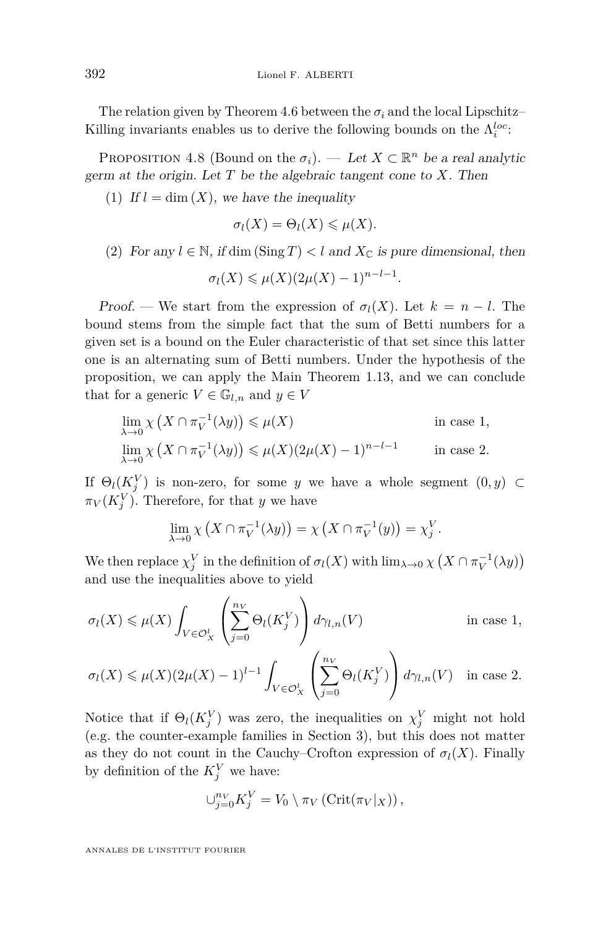The relation given by Theorem [4.6](#page-25-0) between the  $\sigma_i$  and the local Lipschitz– Killing invariants enables us to derive the following bounds on the  $\Lambda_i^{loc}$ :

<span id="page-26-0"></span>PROPOSITION 4.8 (Bound on the  $\sigma_i$ ). — Let  $X \subset \mathbb{R}^n$  be a real analytic germ at the origin. Let *T* be the algebraic tangent cone to *X*. Then

(1) If  $l = \dim(X)$ , we have the inequality

$$
\sigma_l(X) = \Theta_l(X) \leq \mu(X).
$$

(2) For any  $l \in \mathbb{N}$ , if dim  $(\text{Sing } T) < l$  and  $X_{\mathbb{C}}$  is pure dimensional, then

$$
\sigma_l(X) \leqslant \mu(X)(2\mu(X) - 1)^{n-l-1}.
$$

Proof. — We start from the expression of  $\sigma_l(X)$ . Let  $k = n - l$ . The bound stems from the simple fact that the sum of Betti numbers for a given set is a bound on the Euler characteristic of that set since this latter one is an alternating sum of Betti numbers. Under the hypothesis of the proposition, we can apply the Main Theorem [1.13,](#page-6-0) and we can conclude that for a generic  $V \in \mathbb{G}_{l,n}$  and  $y \in V$ 

$$
\lim_{\lambda \to 0} \chi \left( X \cap \pi_V^{-1}(\lambda y) \right) \le \mu(X) \quad \text{in case 1,}
$$
\n
$$
\lim_{\lambda \to 0} \chi \left( X \cap \pi_V^{-1}(\lambda y) \right) \le \mu(X) (2\mu(X) - 1)^{n-l-1} \quad \text{in case 2.}
$$

If  $\Theta_l(K_j^V)$  is non-zero, for some *y* we have a whole segment  $(0, y) \subset$  $\pi_V(K_j^V)$ . Therefore, for that *y* we have

$$
\lim_{\lambda \to 0} \chi \left( X \cap \pi_V^{-1}(\lambda y) \right) = \chi \left( X \cap \pi_V^{-1}(y) \right) = \chi_j^V.
$$

We then replace  $\chi_j^V$  in the definition of  $\sigma_l(X)$  with  $\lim_{\lambda \to 0} \chi(X \cap \pi_V^{-1}(\lambda y))$ and use the inequalities above to yield

$$
\sigma_l(X) \leq \mu(X) \int_{V \in \mathcal{O}_X^l} \left( \sum_{j=0}^{n_V} \Theta_l(K_j^V) \right) d\gamma_{l,n}(V) \qquad \text{in case 1},
$$

$$
\sigma_l(X) \leq \mu(X)(2\mu(X) - 1)^{l-1} \int_{V \in \mathcal{O}_X^l} \left( \sum_{j=0}^{n_V} \Theta_l(K_j^V) \right) d\gamma_{l,n}(V) \quad \text{in case } 2.
$$

Notice that if  $\Theta_l(K_j^V)$  was zero, the inequalities on  $\chi_j^V$  might not hold (e.g. the counter-example families in Section [3\)](#page-17-0), but this does not matter as they do not count in the Cauchy–Crofton expression of  $\sigma_l(X)$ . Finally by definition of the  $K_j^V$  we have:

$$
\bigcup_{j=0}^{n_V} K_j^V = V_0 \setminus \pi_V \left( \text{Crit}(\pi_V|_X) \right),
$$

ANNALES DE L'INSTITUT FOURIER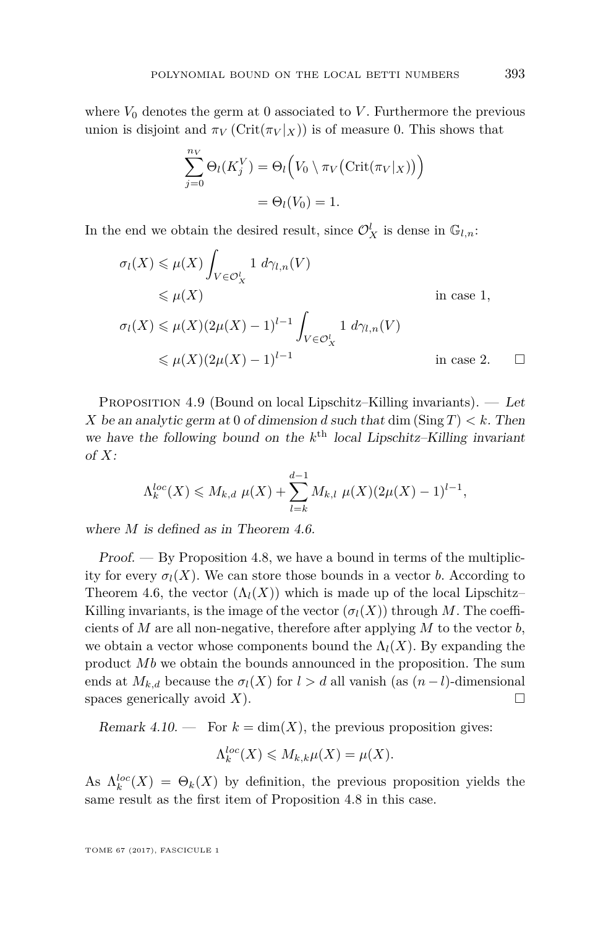where  $V_0$  denotes the germ at 0 associated to  $V$ . Furthermore the previous union is disjoint and  $\pi_V(\text{Crit}(\pi_V|\chi))$  is of measure 0. This shows that

$$
\sum_{j=0}^{n_V} \Theta_l(K_j^V) = \Theta_l\Big(V_0 \setminus \pi_V\big(\text{Crit}(\pi_V|_X)\big)\Big)
$$

$$
= \Theta_l(V_0) = 1.
$$

In the end we obtain the desired result, since  $\mathcal{O}_X^l$  is dense in  $\mathbb{G}_{l,n}$ :

$$
\sigma_l(X) \leq \mu(X) \int_{V \in \mathcal{O}_X^l} 1 \, d\gamma_{l,n}(V)
$$
  
\n
$$
\leq \mu(X) \qquad \text{in case } 1,
$$
  
\n
$$
\sigma_l(X) \leq \mu(X)(2\mu(X) - 1)^{l-1} \int_{V \in \mathcal{O}_X^l} 1 \, d\gamma_{l,n}(V)
$$
  
\n
$$
\leq \mu(X)(2\mu(X) - 1)^{l-1} \qquad \text{in case } 2.
$$

<span id="page-27-0"></span>Proposition 4.9 (Bound on local Lipschitz–Killing invariants). — Let *X* be an analytic germ at 0 of dimension *d* such that dim (Sing  $T$ )  $\lt k$ . Then we have the following bound on the  $k^{\text{th}}$  local Lipschitz–Killing invariant of *X*:

$$
\Lambda_k^{loc}(X) \leq M_{k,d} \mu(X) + \sum_{l=k}^{d-1} M_{k,l} \mu(X) (2\mu(X) - 1)^{l-1},
$$

where *M* is defined as in Theorem [4.6.](#page-25-0)

Proof. — By Proposition [4.8,](#page-26-0) we have a bound in terms of the multiplicity for every  $\sigma_l(X)$ . We can store those bounds in a vector *b*. According to Theorem [4.6,](#page-25-0) the vector  $(\Lambda_l(X))$  which is made up of the local Lipschitz– Killing invariants, is the image of the vector  $(\sigma_l(X))$  through M. The coefficients of *M* are all non-negative, therefore after applying *M* to the vector *b*, we obtain a vector whose components bound the  $\Lambda_l(X)$ . By expanding the product Mb we obtain the bounds announced in the proposition. The sum ends at  $M_{k,d}$  because the  $\sigma_l(X)$  for  $l > d$  all vanish (as  $(n-l)$ -dimensional spaces generically avoid  $X$ ).

Remark 4.10. — For  $k = \dim(X)$ , the previous proposition gives:

$$
\Lambda_k^{loc}(X) \leqslant M_{k,k}\mu(X) = \mu(X).
$$

As  $\Lambda_k^{loc}(X) = \Theta_k(X)$  by definition, the previous proposition yields the same result as the first item of Proposition [4.8](#page-26-0) in this case.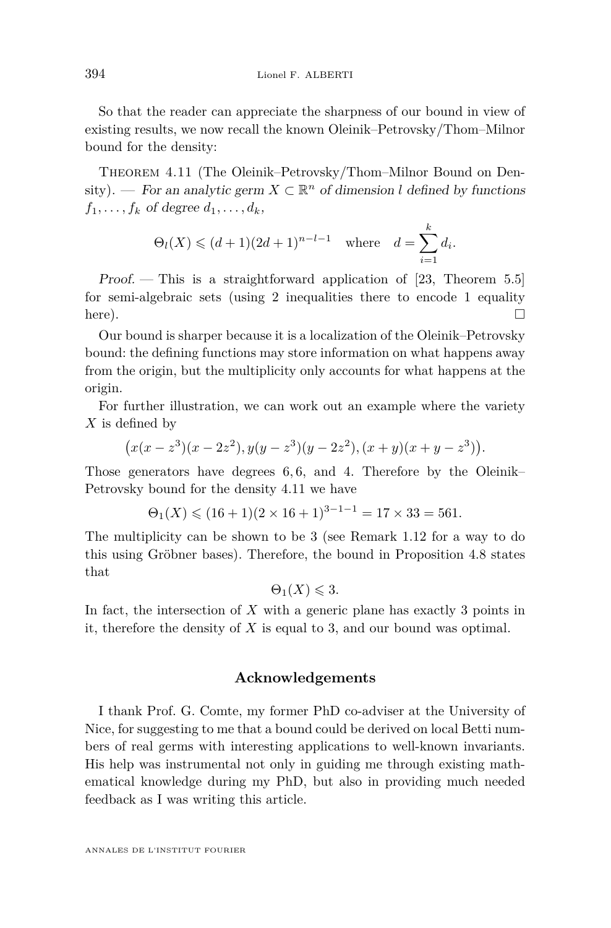So that the reader can appreciate the sharpness of our bound in view of existing results, we now recall the known Oleinik–Petrovsky/Thom–Milnor bound for the density:

<span id="page-28-0"></span>Theorem 4.11 (The Oleinik–Petrovsky/Thom–Milnor Bound on Density). — For an analytic germ  $X \subset \mathbb{R}^n$  of dimension *l* defined by functions  $f_1, \ldots, f_k$  of degree  $d_1, \ldots, d_k$ ,

$$
\Theta_l(X) \leq (d+1)(2d+1)^{n-l-1}
$$
 where  $d = \sum_{i=1}^k d_i$ .

Proof. — This is a straightforward application of [\[23,](#page-30-1) Theorem 5.5] for semi-algebraic sets (using 2 inequalities there to encode 1 equality here).

Our bound is sharper because it is a localization of the Oleinik–Petrovsky bound: the defining functions may store information on what happens away from the origin, but the multiplicity only accounts for what happens at the origin.

For further illustration, we can work out an example where the variety *X* is defined by

$$
(x(x-z3)(x-2z2), y(y-z3)(y-2z2), (x+y)(x+y-z3)).
$$

Those generators have degrees 6*,* 6, and 4. Therefore by the Oleinik– Petrovsky bound for the density [4.11](#page-28-0) we have

$$
\Theta_1(X) \le (16+1)(2 \times 16 + 1)^{3-1-1} = 17 \times 33 = 561.
$$

The multiplicity can be shown to be 3 (see Remark [1.12](#page-6-4) for a way to do this using Gröbner bases). Therefore, the bound in Proposition [4.8](#page-26-0) states that

$$
\Theta_1(X) \leqslant 3.
$$

In fact, the intersection of *X* with a generic plane has exactly 3 points in it, therefore the density of *X* is equal to 3, and our bound was optimal.

#### **Acknowledgements**

I thank Prof. G. Comte, my former PhD co-adviser at the University of Nice, for suggesting to me that a bound could be derived on local Betti numbers of real germs with interesting applications to well-known invariants. His help was instrumental not only in guiding me through existing mathematical knowledge during my PhD, but also in providing much needed feedback as I was writing this article.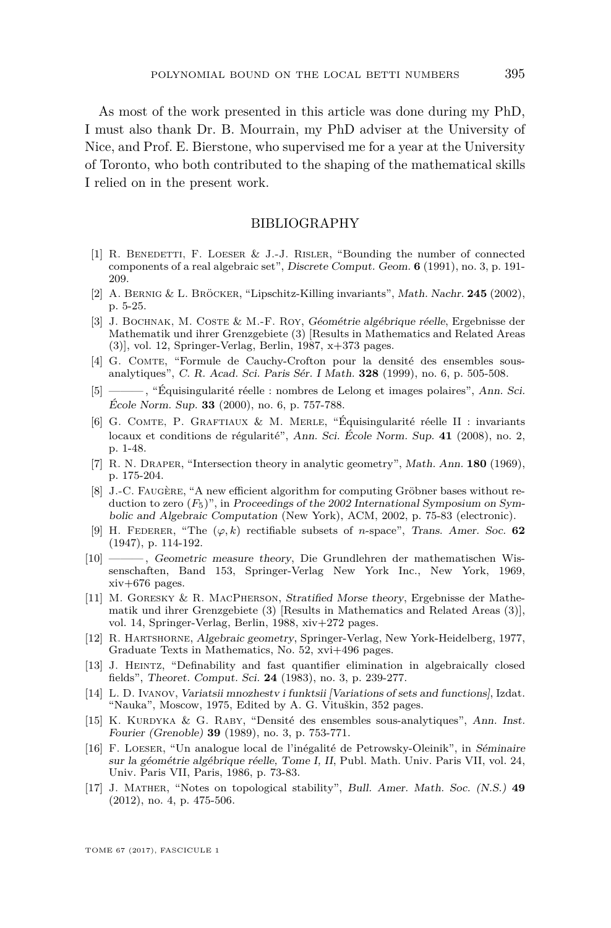As most of the work presented in this article was done during my PhD, I must also thank Dr. B. Mourrain, my PhD adviser at the University of Nice, and Prof. E. Bierstone, who supervised me for a year at the University of Toronto, who both contributed to the shaping of the mathematical skills I relied on in the present work.

#### BIBLIOGRAPHY

- <span id="page-29-14"></span>[1] R. BENEDETTI, F. LOESER & J.-J. RISLER, "Bounding the number of connected components of a real algebraic set", Discrete Comput. Geom. **6** (1991), no. 3, p. 191- 209.
- <span id="page-29-7"></span>[2] A. Bernig & L. Bröcker, "Lipschitz-Killing invariants", Math. Nachr. **245** (2002), p. 5-25.
- <span id="page-29-15"></span>[3] J. Bochnak, M. Coste & M.-F. Roy, Géométrie algébrique réelle, Ergebnisse der Mathematik und ihrer Grenzgebiete (3) [Results in Mathematics and Related Areas (3)], vol. 12, Springer-Verlag, Berlin, 1987, x+373 pages.
- <span id="page-29-5"></span>[4] G. COMTE, "Formule de Cauchy-Crofton pour la densité des ensembles sousanalytiques", C. R. Acad. Sci. Paris Sér. I Math. **328** (1999), no. 6, p. 505-508.
- <span id="page-29-9"></span>[5] ——— , "Équisingularité réelle : nombres de Lelong et images polaires", Ann. Sci. École Norm. Sup. **33** (2000), no. 6, p. 757-788.
- <span id="page-29-6"></span>[6] G. Comte, P. Graftiaux & M. Merle, "Équisingularité réelle II : invariants locaux et conditions de régularité", Ann. Sci. École Norm. Sup. **41** (2008), no. 2, p. 1-48.
- <span id="page-29-1"></span>[7] R. N. Draper, "Intersection theory in analytic geometry", Math. Ann. **180** (1969), p. 175-204.
- <span id="page-29-12"></span>[8] J.-C. FAUGÈRE, "A new efficient algorithm for computing Gröbner bases without reduction to zero (*F*5)", in Proceedings of the 2002 International Symposium on Symbolic and Algebraic Computation (New York), ACM, 2002, p. 75-83 (electronic).
- <span id="page-29-10"></span>[9] H. FEDERER, "The  $(\varphi, k)$  rectifiable subsets of *n*-space", Trans. Amer. Soc. **62** (1947), p. 114-192.
- <span id="page-29-11"></span>[10] ——— , Geometric measure theory, Die Grundlehren der mathematischen Wissenschaften, Band 153, Springer-Verlag New York Inc., New York, 1969,  $xiv+676$  pages.
- <span id="page-29-2"></span>[11] M. Goresky & R. MacPherson, Stratified Morse theory, Ergebnisse der Mathematik und ihrer Grenzgebiete (3) [Results in Mathematics and Related Areas (3)], vol. 14, Springer-Verlag, Berlin, 1988, xiv+272 pages.
- <span id="page-29-13"></span>[12] R. Hartshorne, Algebraic geometry, Springer-Verlag, New York-Heidelberg, 1977, Graduate Texts in Mathematics, No. 52, xvi+496 pages.
- <span id="page-29-4"></span>[13] J. Heintz, "Definability and fast quantifier elimination in algebraically closed fields", Theoret. Comput. Sci. **24** (1983), no. 3, p. 239-277.
- <span id="page-29-8"></span>[14] L. D. Ivanov, Variatsii mnozhestv i funktsii [Variations of sets and functions], Izdat. "Nauka", Moscow, 1975, Edited by A. G. Vituškin, 352 pages.
- <span id="page-29-16"></span>[15] K. Kurdyka & G. Raby, "Densité des ensembles sous-analytiques", Ann. Inst. Fourier (Grenoble) **39** (1989), no. 3, p. 753-771.
- <span id="page-29-0"></span>[16] F. Loeser, "Un analogue local de l'inégalité de Petrowsky-Oleinik", in Séminaire sur la géométrie algébrique réelle, Tome I, II, Publ. Math. Univ. Paris VII, vol. 24, Univ. Paris VII, Paris, 1986, p. 73-83.
- <span id="page-29-3"></span>[17] J. Mather, "Notes on topological stability", Bull. Amer. Math. Soc. (N.S.) **49** (2012), no. 4, p. 475-506.